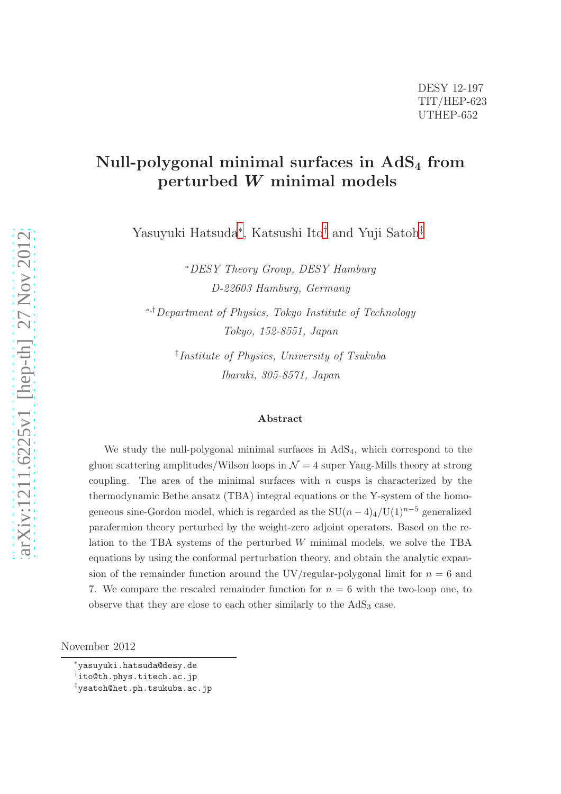# Null-polygonal minimal surfaces in  $AdS<sub>4</sub>$  from perturbed W minimal models

Yasuyuki Hatsuda[∗](#page-0-0) , Katsushi Ito[†](#page-0-1) and Yuji Satoh[‡](#page-0-2)

<sup>∗</sup>DESY Theory Group, DESY Hamburg D-22603 Hamburg, Germany

<sup>∗</sup>,†Department of Physics, Tokyo Institute of Technology Tokyo, 152-8551, Japan

> ‡ Institute of Physics, University of Tsukuba Ibaraki, 305-8571, Japan

#### Abstract

We study the null-polygonal minimal surfaces in  $AdS<sub>4</sub>$ , which correspond to the gluon scattering amplitudes/Wilson loops in  $\mathcal{N}=4$  super Yang-Mills theory at strong coupling. The area of the minimal surfaces with  $n$  cusps is characterized by the thermodynamic Bethe ansatz (TBA) integral equations or the Y-system of the homogeneous sine-Gordon model, which is regarded as the  $SU(n-4)_4/U(1)^{n-5}$  generalized parafermion theory perturbed by the weight-zero adjoint operators. Based on the relation to the TBA systems of the perturbed  $W$  minimal models, we solve the TBA equations by using the conformal perturbation theory, and obtain the analytic expansion of the remainder function around the UV/regular-polygonal limit for  $n = 6$  and 7. We compare the rescaled remainder function for  $n = 6$  with the two-loop one, to observe that they are close to each other similarly to the  $AdS<sub>3</sub>$  case.

November 2012

<sup>∗</sup>yasuyuki.hatsuda@desy.de

<span id="page-0-0"></span><sup>†</sup>ito@th.phys.titech.ac.jp

<span id="page-0-2"></span><span id="page-0-1"></span><sup>‡</sup>ysatoh@het.ph.tsukuba.ac.jp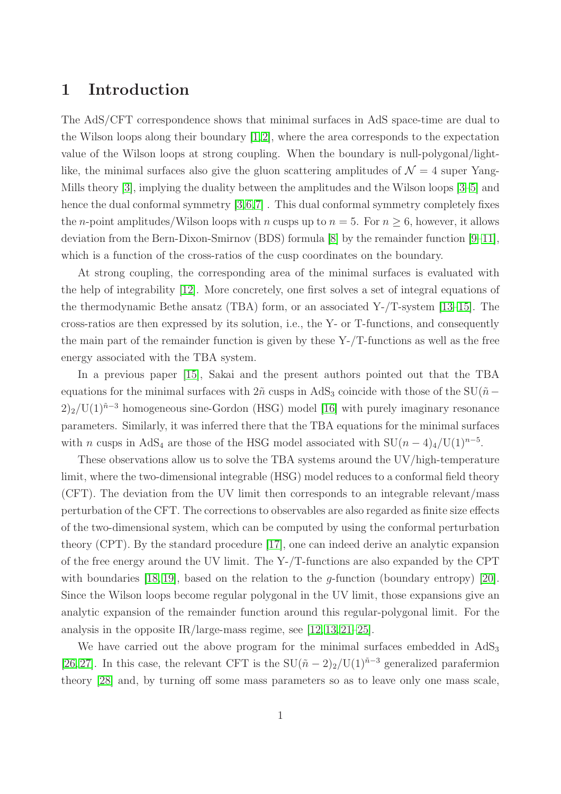## 1 Introduction

The AdS/CFT correspondence shows that minimal surfaces in AdS space-time are dual to the Wilson loops along their boundary  $[1,2]$  $[1,2]$ , where the area corresponds to the expectation value of the Wilson loops at strong coupling. When the boundary is null-polygonal/lightlike, the minimal surfaces also give the gluon scattering amplitudes of  $\mathcal{N} = 4$  super Yang-Mills theory [\[3\]](#page-39-2), implying the duality between the amplitudes and the Wilson loops [\[3](#page-39-2)[–5\]](#page-39-3) and hence the dual conformal symmetry  $[3,6,7]$  $[3,6,7]$  $[3,6,7]$ . This dual conformal symmetry completely fixes the *n*-point amplitudes/Wilson loops with *n* cusps up to  $n = 5$ . For  $n \geq 6$ , however, it allows deviation from the Bern-Dixon-Smirnov (BDS) formula [\[8\]](#page-39-6) by the remainder function [\[9–](#page-39-7)[11\]](#page-39-8), which is a function of the cross-ratios of the cusp coordinates on the boundary.

At strong coupling, the corresponding area of the minimal surfaces is evaluated with the help of integrability [\[12\]](#page-39-9). More concretely, one first solves a set of integral equations of the thermodynamic Bethe ansatz (TBA) form, or an associated Y-/T-system [\[13](#page-39-10)[–15\]](#page-39-11). The cross-ratios are then expressed by its solution, i.e., the Y- or T-functions, and consequently the main part of the remainder function is given by these  $Y$ -/T-functions as well as the free energy associated with the TBA system.

In a previous paper [\[15\]](#page-39-11), Sakai and the present authors pointed out that the TBA equations for the minimal surfaces with  $2\tilde{n}$  cusps in AdS<sub>3</sub> coincide with those of the SU( $\tilde{n} 2)_2$ /U(1)<sup> $\tilde{n}-3$ </sup> homogeneous sine-Gordon (HSG) model [\[16\]](#page-39-12) with purely imaginary resonance parameters. Similarly, it was inferred there that the TBA equations for the minimal surfaces with *n* cusps in AdS<sub>4</sub> are those of the HSG model associated with  $SU(n-4)_{4}/U(1)^{n-5}$ .

These observations allow us to solve the TBA systems around the UV/high-temperature limit, where the two-dimensional integrable (HSG) model reduces to a conformal field theory (CFT). The deviation from the UV limit then corresponds to an integrable relevant/mass perturbation of the CFT. The corrections to observables are also regarded as finite size effects of the two-dimensional system, which can be computed by using the conformal perturbation theory (CPT). By the standard procedure [\[17\]](#page-39-13), one can indeed derive an analytic expansion of the free energy around the UV limit. The Y-/T-functions are also expanded by the CPT with boundaries [\[18,](#page-39-14) [19\]](#page-39-15), based on the relation to the *q*-function (boundary entropy) [\[20\]](#page-40-0). Since the Wilson loops become regular polygonal in the UV limit, those expansions give an analytic expansion of the remainder function around this regular-polygonal limit. For the analysis in the opposite IR/large-mass regime, see  $[12, 13, 21-25]$  $[12, 13, 21-25]$  $[12, 13, 21-25]$  $[12, 13, 21-25]$ .

We have carried out the above program for the minimal surfaces embedded in  $AdS_3$ [\[26,](#page-40-3) [27\]](#page-40-4). In this case, the relevant CFT is the SU( $\tilde{n} - 2$ )<sub>2</sub>/U(1)<sup> $\tilde{n}-3$ </sup> generalized parafermion theory [\[28\]](#page-40-5) and, by turning off some mass parameters so as to leave only one mass scale,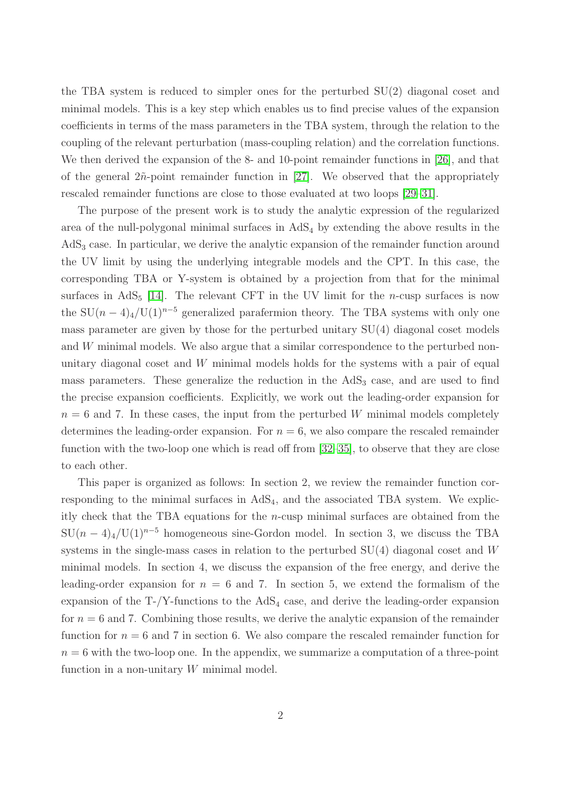the TBA system is reduced to simpler ones for the perturbed SU(2) diagonal coset and minimal models. This is a key step which enables us to find precise values of the expansion coefficients in terms of the mass parameters in the TBA system, through the relation to the coupling of the relevant perturbation (mass-coupling relation) and the correlation functions. We then derived the expansion of the 8- and 10-point remainder functions in [\[26\]](#page-40-3), and that of the general  $2\tilde{n}$ -point remainder function in [\[27\]](#page-40-4). We observed that the appropriately rescaled remainder functions are close to those evaluated at two loops [\[29](#page-40-6)[–31\]](#page-40-7).

The purpose of the present work is to study the analytic expression of the regularized area of the null-polygonal minimal surfaces in  $AdS<sub>4</sub>$  by extending the above results in the  $AdS<sub>3</sub>$  case. In particular, we derive the analytic expansion of the remainder function around the UV limit by using the underlying integrable models and the CPT. In this case, the corresponding TBA or Y-system is obtained by a projection from that for the minimal surfaces in AdS<sub>5</sub> [\[14\]](#page-39-16). The relevant CFT in the UV limit for the *n*-cusp surfaces is now the SU $(n-4)$ <sub>4</sub>/U(1)<sup>n–5</sup> generalized parafermion theory. The TBA systems with only one mass parameter are given by those for the perturbed unitary  $SU(4)$  diagonal coset models and W minimal models. We also argue that a similar correspondence to the perturbed nonunitary diagonal coset and  $W$  minimal models holds for the systems with a pair of equal mass parameters. These generalize the reduction in the AdS<sub>3</sub> case, and are used to find the precise expansion coefficients. Explicitly, we work out the leading-order expansion for  $n = 6$  and 7. In these cases, the input from the perturbed W minimal models completely determines the leading-order expansion. For  $n = 6$ , we also compare the rescaled remainder function with the two-loop one which is read off from [\[32–](#page-40-8)[35\]](#page-40-9), to observe that they are close to each other.

This paper is organized as follows: In section 2, we review the remainder function corresponding to the minimal surfaces in  $AdS<sub>4</sub>$ , and the associated TBA system. We explicitly check that the TBA equations for the  $n$ -cusp minimal surfaces are obtained from the  $SU(n-4)_4/U(1)^{n-5}$  homogeneous sine-Gordon model. In section 3, we discuss the TBA systems in the single-mass cases in relation to the perturbed SU(4) diagonal coset and W minimal models. In section 4, we discuss the expansion of the free energy, and derive the leading-order expansion for  $n = 6$  and 7. In section 5, we extend the formalism of the expansion of the  $T$ -/Y-functions to the AdS<sub>4</sub> case, and derive the leading-order expansion for  $n = 6$  and 7. Combining those results, we derive the analytic expansion of the remainder function for  $n = 6$  and 7 in section 6. We also compare the rescaled remainder function for  $n = 6$  with the two-loop one. In the appendix, we summarize a computation of a three-point function in a non-unitary  $W$  minimal model.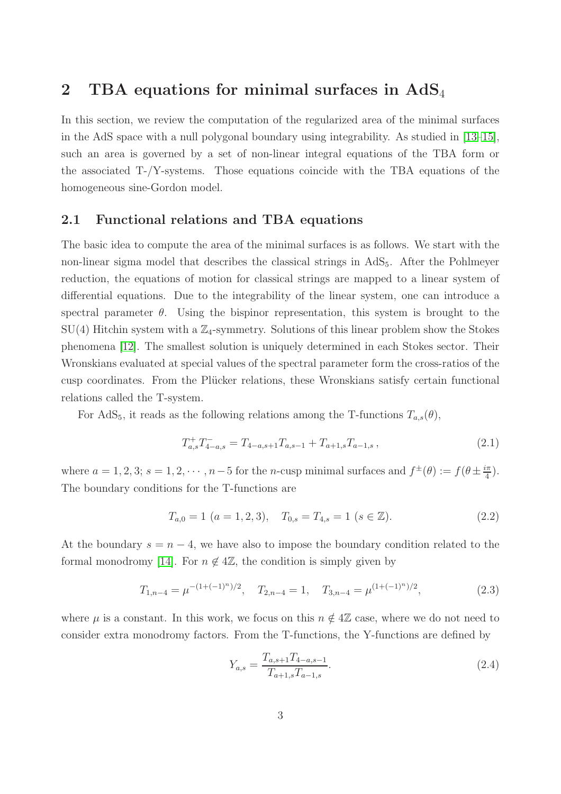## <span id="page-3-1"></span>2 TBA equations for minimal surfaces in  $AdS_4$

In this section, we review the computation of the regularized area of the minimal surfaces in the AdS space with a null polygonal boundary using integrability. As studied in [\[13–](#page-39-10)[15\]](#page-39-11), such an area is governed by a set of non-linear integral equations of the TBA form or the associated  $T-\gamma$ -systems. Those equations coincide with the TBA equations of the homogeneous sine-Gordon model.

## 2.1 Functional relations and TBA equations

The basic idea to compute the area of the minimal surfaces is as follows. We start with the non-linear sigma model that describes the classical strings in AdS<sub>5</sub>. After the Pohlmeyer reduction, the equations of motion for classical strings are mapped to a linear system of differential equations. Due to the integrability of the linear system, one can introduce a spectral parameter  $\theta$ . Using the bispinor representation, this system is brought to the  $SU(4)$  Hitchin system with a  $\mathbb{Z}_4$ -symmetry. Solutions of this linear problem show the Stokes phenomena [\[12\]](#page-39-9). The smallest solution is uniquely determined in each Stokes sector. Their Wronskians evaluated at special values of the spectral parameter form the cross-ratios of the cusp coordinates. From the Plücker relations, these Wronskians satisfy certain functional relations called the T-system.

For AdS<sub>5</sub>, it reads as the following relations among the T-functions  $T_{a,s}(\theta)$ ,

<span id="page-3-4"></span>
$$
T_{a,s}^+ T_{4-a,s}^- = T_{4-a,s+1} T_{a,s-1} + T_{a+1,s} T_{a-1,s} \,, \tag{2.1}
$$

where  $a = 1, 2, 3$ ;  $s = 1, 2, \dots, n-5$  for the *n*-cusp minimal surfaces and  $f^{\pm}(\theta) := f(\theta \pm \frac{i\pi}{4})$  $\frac{2\pi}{4}$ . The boundary conditions for the T-functions are

<span id="page-3-2"></span>
$$
T_{a,0} = 1 \ (a = 1, 2, 3), \quad T_{0,s} = T_{4,s} = 1 \ (s \in \mathbb{Z}). \tag{2.2}
$$

At the boundary  $s = n - 4$ , we have also to impose the boundary condition related to the formal monodromy [\[14\]](#page-39-16). For  $n \notin 4\mathbb{Z}$ , the condition is simply given by

$$
T_{1,n-4} = \mu^{-(1+(-1)^n)/2}, \quad T_{2,n-4} = 1, \quad T_{3,n-4} = \mu^{(1+(-1)^n)/2}, \tag{2.3}
$$

where  $\mu$  is a constant. In this work, we focus on this  $n \notin 4\mathbb{Z}$  case, where we do not need to consider extra monodromy factors. From the T-functions, the Y-functions are defined by

<span id="page-3-3"></span><span id="page-3-0"></span>
$$
Y_{a,s} = \frac{T_{a,s+1}T_{4-a,s-1}}{T_{a+1,s}T_{a-1,s}}.\tag{2.4}
$$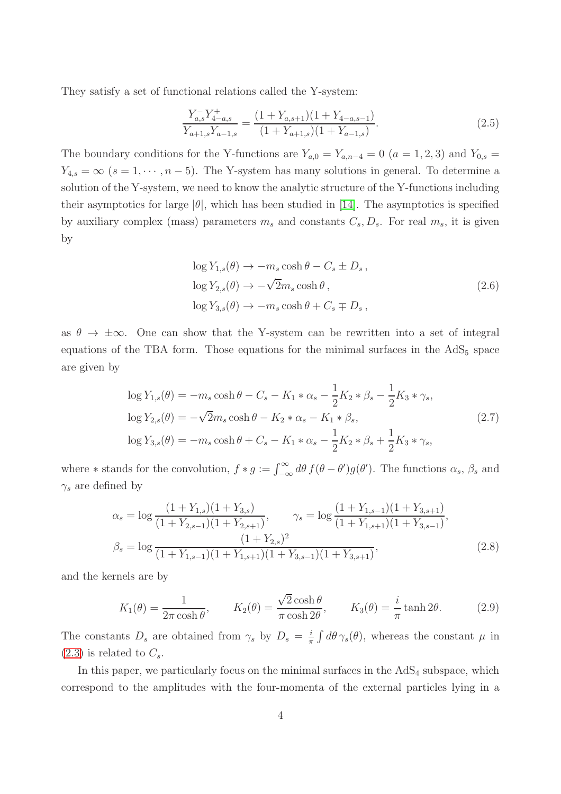They satisfy a set of functional relations called the Y-system:

<span id="page-4-2"></span>
$$
\frac{Y_{a,s}^{-}Y_{4-a,s}^{+}}{Y_{a+1,s}Y_{a-1,s}} = \frac{(1+Y_{a,s+1})(1+Y_{4-a,s-1})}{(1+Y_{a+1,s})(1+Y_{a-1,s})}.
$$
\n(2.5)

The boundary conditions for the Y-functions are  $Y_{a,0} = Y_{a,n-4} = 0$   $(a = 1, 2, 3)$  and  $Y_{0,s} =$  $Y_{4,s} = \infty$  (s = 1,  $\cdots$  , n – 5). The Y-system has many solutions in general. To determine a solution of the Y-system, we need to know the analytic structure of the Y-functions including their asymptotics for large  $|\theta|$ , which has been studied in [\[14\]](#page-39-16). The asymptotics is specified by auxiliary complex (mass) parameters  $m_s$  and constants  $C_s$ ,  $D_s$ . For real  $m_s$ , it is given by

<span id="page-4-0"></span>
$$
\log Y_{1,s}(\theta) \to -m_s \cosh \theta - C_s \pm D_s ,
$$
  

$$
\log Y_{2,s}(\theta) \to -\sqrt{2}m_s \cosh \theta ,
$$
  

$$
\log Y_{3,s}(\theta) \to -m_s \cosh \theta + C_s \mp D_s ,
$$
 (2.6)

as  $\theta \to \pm \infty$ . One can show that the Y-system can be rewritten into a set of integral equations of the TBA form. Those equations for the minimal surfaces in the  $AdS<sub>5</sub>$  space are given by

$$
\log Y_{1,s}(\theta) = -m_s \cosh \theta - C_s - K_1 * \alpha_s - \frac{1}{2} K_2 * \beta_s - \frac{1}{2} K_3 * \gamma_s,
$$
  

$$
\log Y_{2,s}(\theta) = -\sqrt{2} m_s \cosh \theta - K_2 * \alpha_s - K_1 * \beta_s,
$$
  

$$
\log Y_{3,s}(\theta) = -m_s \cosh \theta + C_s - K_1 * \alpha_s - \frac{1}{2} K_2 * \beta_s + \frac{1}{2} K_3 * \gamma_s,
$$
\n(2.7)

where  $*$  stands for the convolution,  $f * g := \int_{-\infty}^{\infty} d\theta f(\theta - \theta') g(\theta')$ . The functions  $\alpha_s$ ,  $\beta_s$  and  $\gamma_s$  are defined by

$$
\alpha_s = \log \frac{(1 + Y_{1,s})(1 + Y_{3,s})}{(1 + Y_{2,s-1})(1 + Y_{2,s+1})}, \qquad \gamma_s = \log \frac{(1 + Y_{1,s-1})(1 + Y_{3,s+1})}{(1 + Y_{1,s+1})(1 + Y_{3,s-1})},
$$
  

$$
\beta_s = \log \frac{(1 + Y_{2,s})^2}{(1 + Y_{1,s-1})(1 + Y_{1,s+1})(1 + Y_{3,s-1})(1 + Y_{3,s+1})},
$$
(2.8)

and the kernels are by

<span id="page-4-1"></span>
$$
K_1(\theta) = \frac{1}{2\pi \cosh \theta}, \qquad K_2(\theta) = \frac{\sqrt{2} \cosh \theta}{\pi \cosh 2\theta}, \qquad K_3(\theta) = \frac{i}{\pi} \tanh 2\theta.
$$
 (2.9)

The constants  $D_s$  are obtained from  $\gamma_s$  by  $D_s = \frac{i}{\pi}$  $\frac{i}{\pi} \int d\theta \gamma_s(\theta)$ , whereas the constant  $\mu$  in  $(2.3)$  is related to  $C_s$ .

In this paper, we particularly focus on the minimal surfaces in the  $AdS<sub>4</sub>$  subspace, which correspond to the amplitudes with the four-momenta of the external particles lying in a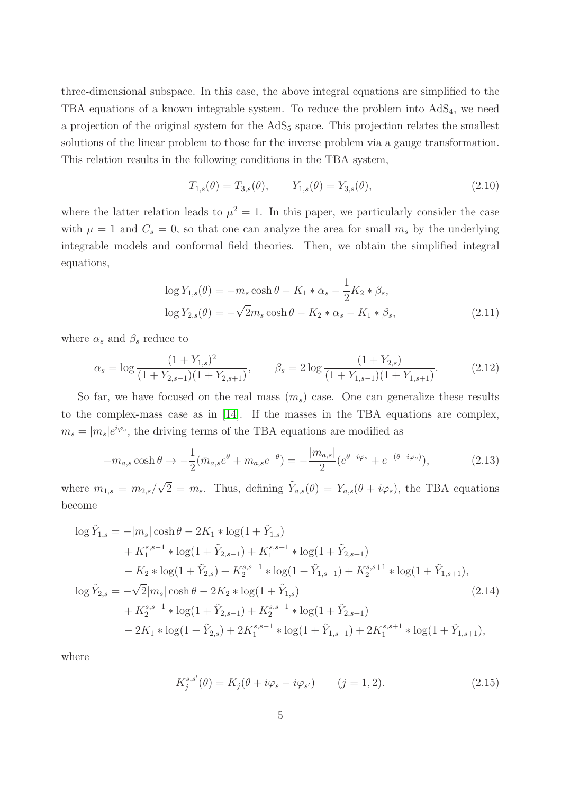three-dimensional subspace. In this case, the above integral equations are simplified to the TBA equations of a known integrable system. To reduce the problem into  $AdS_4$ , we need a projection of the original system for the  $AdS_5$  space. This projection relates the smallest solutions of the linear problem to those for the inverse problem via a gauge transformation. This relation results in the following conditions in the TBA system,

<span id="page-5-2"></span>
$$
T_{1,s}(\theta) = T_{3,s}(\theta), \qquad Y_{1,s}(\theta) = Y_{3,s}(\theta), \tag{2.10}
$$

where the latter relation leads to  $\mu^2 = 1$ . In this paper, we particularly consider the case with  $\mu = 1$  and  $C_s = 0$ , so that one can analyze the area for small  $m_s$  by the underlying integrable models and conformal field theories. Then, we obtain the simplified integral equations,

<span id="page-5-0"></span>
$$
\log Y_{1,s}(\theta) = -m_s \cosh \theta - K_1 * \alpha_s - \frac{1}{2} K_2 * \beta_s,
$$
  

$$
\log Y_{2,s}(\theta) = -\sqrt{2} m_s \cosh \theta - K_2 * \alpha_s - K_1 * \beta_s,
$$
 (2.11)

where  $\alpha_s$  and  $\beta_s$  reduce to

$$
\alpha_s = \log \frac{(1 + Y_{1,s})^2}{(1 + Y_{2,s-1})(1 + Y_{2,s+1})}, \qquad \beta_s = 2 \log \frac{(1 + Y_{2,s})}{(1 + Y_{1,s-1})(1 + Y_{1,s+1})}.
$$
(2.12)

So far, we have focused on the real mass  $(m_s)$  case. One can generalize these results to the complex-mass case as in [\[14\]](#page-39-16). If the masses in the TBA equations are complex,  $m_s = |m_s|e^{i\varphi_s}$ , the driving terms of the TBA equations are modified as

$$
-m_{a,s}\cosh\theta \to -\frac{1}{2}(\bar{m}_{a,s}e^{\theta} + m_{a,s}e^{-\theta}) = -\frac{|m_{a,s}|}{2}(e^{\theta - i\varphi_s} + e^{-(\theta - i\varphi_s)}),
$$
(2.13)

where  $m_{1,s} = m_{2,s}/\sqrt{2} = m_s$ . Thus, defining  $\tilde{Y}_{a,s}(\theta) = Y_{a,s}(\theta + i\varphi_s)$ , the TBA equations become

$$
\log \tilde{Y}_{1,s} = -|m_s| \cosh \theta - 2K_1 * \log(1 + \tilde{Y}_{1,s}) \n+ K_1^{s,s-1} * \log(1 + \tilde{Y}_{2,s-1}) + K_1^{s,s+1} * \log(1 + \tilde{Y}_{2,s+1}) \n- K_2 * \log(1 + \tilde{Y}_{2,s}) + K_2^{s,s-1} * \log(1 + \tilde{Y}_{1,s-1}) + K_2^{s,s+1} * \log(1 + \tilde{Y}_{1,s+1}), \n\log \tilde{Y}_{2,s} = -\sqrt{2}|m_s| \cosh \theta - 2K_2 * \log(1 + \tilde{Y}_{1,s}) \n+ K_2^{s,s-1} * \log(1 + \tilde{Y}_{2,s-1}) + K_2^{s,s+1} * \log(1 + \tilde{Y}_{2,s+1}) \n- 2K_1 * \log(1 + \tilde{Y}_{2,s}) + 2K_1^{s,s-1} * \log(1 + \tilde{Y}_{1,s-1}) + 2K_1^{s,s+1} * \log(1 + \tilde{Y}_{1,s+1}),
$$
\n(2.14)

where

<span id="page-5-1"></span>
$$
K_j^{s,s'}(\theta) = K_j(\theta + i\varphi_s - i\varphi_{s'}) \qquad (j = 1, 2). \tag{2.15}
$$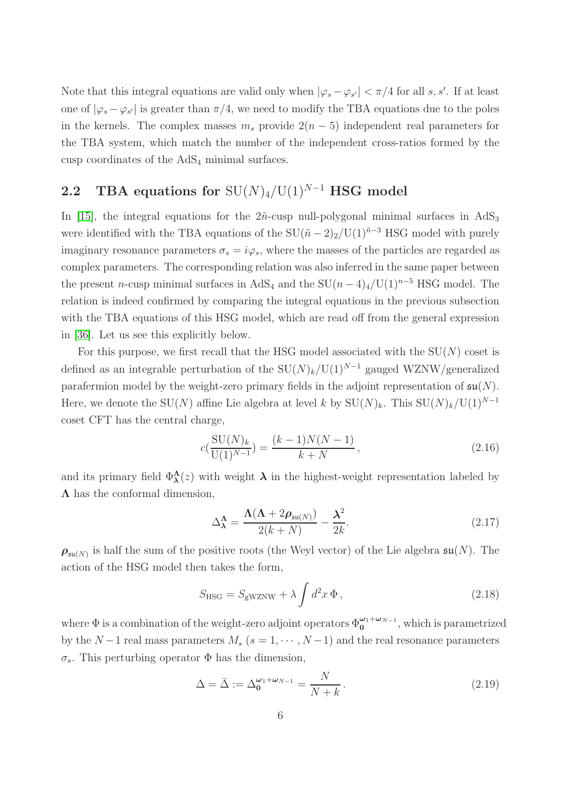Note that this integral equations are valid only when  $|\varphi_s - \varphi_{s'}| < \pi/4$  for all s, s'. If at least one of  $|\varphi_s - \varphi_{s'}|$  is greater than  $\pi/4$ , we need to modify the TBA equations due to the poles in the kernels. The complex masses  $m_s$  provide  $2(n-5)$  independent real parameters for the TBA system, which match the number of the independent cross-ratios formed by the cusp coordinates of the  $AdS<sub>4</sub>$  minimal surfaces.

# 2.2 TBA equations for  $SU(N)_4/U(1)^{N-1}$  HSG model

In [\[15\]](#page-39-11), the integral equations for the  $2\tilde{n}$ -cusp null-polygonal minimal surfaces in AdS<sub>3</sub> were identified with the TBA equations of the  $SU(\tilde{n}-2)_2/U(1)^{\tilde{n}-3}$  HSG model with purely imaginary resonance parameters  $\sigma_s = i\varphi_s$ , where the masses of the particles are regarded as complex parameters. The corresponding relation was also inferred in the same paper between the present n-cusp minimal surfaces in AdS<sub>4</sub> and the  $SU(n-4)_4/U(1)^{n-5}$  HSG model. The relation is indeed confirmed by comparing the integral equations in the previous subsection with the TBA equations of this HSG model, which are read off from the general expression in [\[36\]](#page-40-10). Let us see this explicitly below.

For this purpose, we first recall that the HSG model associated with the  $SU(N)$  coset is defined as an integrable perturbation of the  $SU(N)_k/U(1)^{N-1}$  gauged WZNW/generalized parafermion model by the weight-zero primary fields in the adjoint representation of  $\mathfrak{su}(N)$ . Here, we denote the SU(N) affine Lie algebra at level k by  $SU(N)_k$ . This  $SU(N)_k/U(1)^{N-1}$ coset CFT has the central charge,

<span id="page-6-1"></span>
$$
c\left(\frac{\text{SU}(N)_k}{\text{U}(1)^{N-1}}\right) = \frac{(k-1)N(N-1)}{k+N},\tag{2.16}
$$

and its primary field  $\Phi_{\lambda}^{\Lambda}(z)$  with weight  $\lambda$  in the highest-weight representation labeled by  $\Lambda$  has the conformal dimension,

$$
\Delta_{\lambda}^{\Lambda} = \frac{\Lambda(\Lambda + 2\rho_{\mathfrak{su}(N)})}{2(k+N)} - \frac{\lambda^2}{2k}.
$$
\n(2.17)

 $\rho_{\mathfrak{su}(N)}$  is half the sum of the positive roots (the Weyl vector) of the Lie algebra  $\mathfrak{su}(N)$ . The action of the HSG model then takes the form,

<span id="page-6-0"></span>
$$
S_{\text{HSG}} = S_{\text{gWZNW}} + \lambda \int d^2 x \, \Phi \,, \tag{2.18}
$$

where  $\Phi$  is a combination of the weight-zero adjoint operators  $\Phi_0^{\omega_1+\omega_{N-1}}$ , which is parametrized by the N – 1 real mass parameters  $M_s$  ( $s = 1, \dots, N-1$ ) and the real resonance parameters σs. This perturbing operator Φ has the dimension,

$$
\Delta = \bar{\Delta} := \Delta_0^{\omega_1 + \omega_{N-1}} = \frac{N}{N+k} \,. \tag{2.19}
$$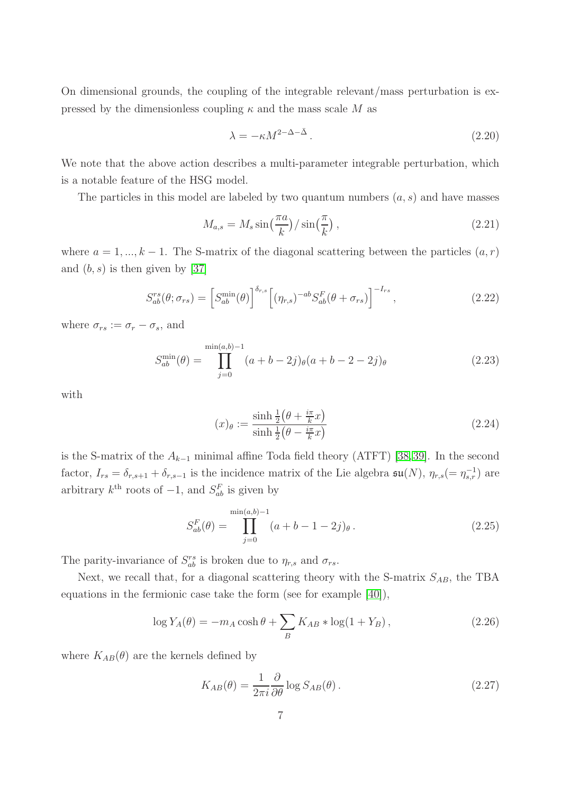On dimensional grounds, the coupling of the integrable relevant/mass perturbation is expressed by the dimensionless coupling  $\kappa$  and the mass scale M as

<span id="page-7-0"></span>
$$
\lambda = -\kappa M^{2-\Delta-\bar{\Delta}}.
$$
\n(2.20)

We note that the above action describes a multi-parameter integrable perturbation, which is a notable feature of the HSG model.

The particles in this model are labeled by two quantum numbers  $(a, s)$  and have masses

<span id="page-7-1"></span>
$$
M_{a,s} = M_s \sin\left(\frac{\pi a}{k}\right) / \sin\left(\frac{\pi}{k}\right),\tag{2.21}
$$

where  $a = 1, ..., k - 1$ . The S-matrix of the diagonal scattering between the particles  $(a, r)$ and  $(b, s)$  is then given by [\[37\]](#page-40-11)

<span id="page-7-2"></span>
$$
S_{ab}^{rs}(\theta; \sigma_{rs}) = \left[S_{ab}^{\min}(\theta)\right]^{\delta_{r,s}} \left[ (\eta_{r,s})^{-ab} S_{ab}^F(\theta + \sigma_{rs}) \right]^{-I_{rs}}, \tag{2.22}
$$

where  $\sigma_{rs} := \sigma_r - \sigma_s$ , and

$$
S_{ab}^{\min}(\theta) = \prod_{j=0}^{\min(a,b)-1} (a+b-2j)_{\theta}(a+b-2-2j)_{\theta}
$$
 (2.23)

with

$$
(x)_{\theta} := \frac{\sinh\frac{1}{2}\left(\theta + \frac{i\pi}{k}x\right)}{\sinh\frac{1}{2}\left(\theta - \frac{i\pi}{k}x\right)}\tag{2.24}
$$

is the S-matrix of the  $A_{k-1}$  minimal affine Toda field theory (ATFT) [\[38,](#page-40-12)[39\]](#page-40-13). In the second factor,  $I_{rs} = \delta_{r,s+1} + \delta_{r,s-1}$  is the incidence matrix of the Lie algebra  $\mathfrak{su}(N)$ ,  $\eta_{r,s} (= \eta_{s,r}^{-1})$  are arbitrary  $k^{\text{th}}$  roots of  $-1$ , and  $S_{ab}^F$  is given by

<span id="page-7-3"></span>
$$
S_{ab}^{F}(\theta) = \prod_{j=0}^{\min(a,b)-1} (a+b-1-2j)_{\theta}.
$$
 (2.25)

The parity-invariance of  $S_{ab}^{rs}$  is broken due to  $\eta_{r,s}$  and  $\sigma_{rs}$ .

Next, we recall that, for a diagonal scattering theory with the S-matrix  $S_{AB}$ , the TBA equations in the fermionic case take the form (see for example [\[40\]](#page-40-14)),

$$
\log Y_A(\theta) = -m_A \cosh \theta + \sum_B K_{AB} * \log(1 + Y_B), \qquad (2.26)
$$

where  $K_{AB}(\theta)$  are the kernels defined by

$$
K_{AB}(\theta) = \frac{1}{2\pi i} \frac{\partial}{\partial \theta} \log S_{AB}(\theta) \,. \tag{2.27}
$$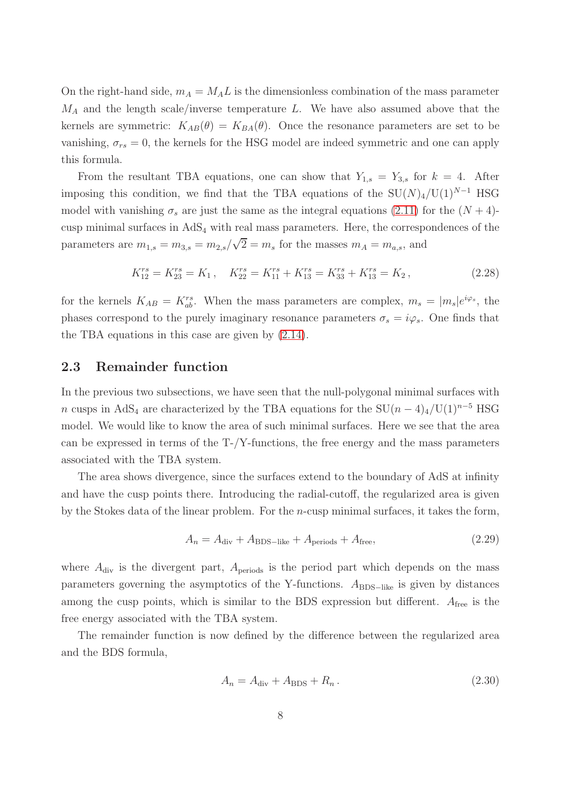On the right-hand side,  $m_A = M_A L$  is the dimensionless combination of the mass parameter  $M_A$  and the length scale/inverse temperature L. We have also assumed above that the kernels are symmetric:  $K_{AB}(\theta) = K_{BA}(\theta)$ . Once the resonance parameters are set to be vanishing,  $\sigma_{rs} = 0$ , the kernels for the HSG model are indeed symmetric and one can apply this formula.

From the resultant TBA equations, one can show that  $Y_{1,s} = Y_{3,s}$  for  $k = 4$ . After imposing this condition, we find that the TBA equations of the  $SU(N)_4/U(1)^{N-1}$  HSG model with vanishing  $\sigma_s$  are just the same as the integral equations [\(2.11\)](#page-5-0) for the  $(N + 4)$ cusp minimal surfaces in  $AdS_4$  with real mass parameters. Here, the correspondences of the parameters are  $m_{1,s} = m_{3,s} = m_{2,s}/\sqrt{2} = m_s$  for the masses  $m_A = m_{a,s}$ , and

$$
K_{12}^{rs} = K_{23}^{rs} = K_1, \quad K_{22}^{rs} = K_{11}^{rs} + K_{13}^{rs} = K_{33}^{rs} + K_{13}^{rs} = K_2, \tag{2.28}
$$

for the kernels  $K_{AB} = K_{ab}^{rs}$ . When the mass parameters are complex,  $m_s = |m_s|e^{i\varphi_s}$ , the phases correspond to the purely imaginary resonance parameters  $\sigma_s = i\varphi_s$ . One finds that the TBA equations in this case are given by [\(2.14\)](#page-5-1).

## 2.3 Remainder function

In the previous two subsections, we have seen that the null-polygonal minimal surfaces with n cusps in AdS<sub>4</sub> are characterized by the TBA equations for the  $SU(n-4)_{4}/U(1)^{n-5}$  HSG model. We would like to know the area of such minimal surfaces. Here we see that the area can be expressed in terms of the T-/Y-functions, the free energy and the mass parameters associated with the TBA system.

The area shows divergence, since the surfaces extend to the boundary of AdS at infinity and have the cusp points there. Introducing the radial-cutoff, the regularized area is given by the Stokes data of the linear problem. For the n-cusp minimal surfaces, it takes the form,

$$
A_n = A_{\text{div}} + A_{\text{BDS-like}} + A_{\text{periods}} + A_{\text{free}},\tag{2.29}
$$

where  $A_{div}$  is the divergent part,  $A_{periods}$  is the period part which depends on the mass parameters governing the asymptotics of the Y-functions.  $A_{\text{BDS}-\text{like}}$  is given by distances among the cusp points, which is similar to the BDS expression but different.  $A_{\text{free}}$  is the free energy associated with the TBA system.

The remainder function is now defined by the difference between the regularized area and the BDS formula,

$$
A_n = A_{\text{div}} + A_{\text{BDS}} + R_n. \tag{2.30}
$$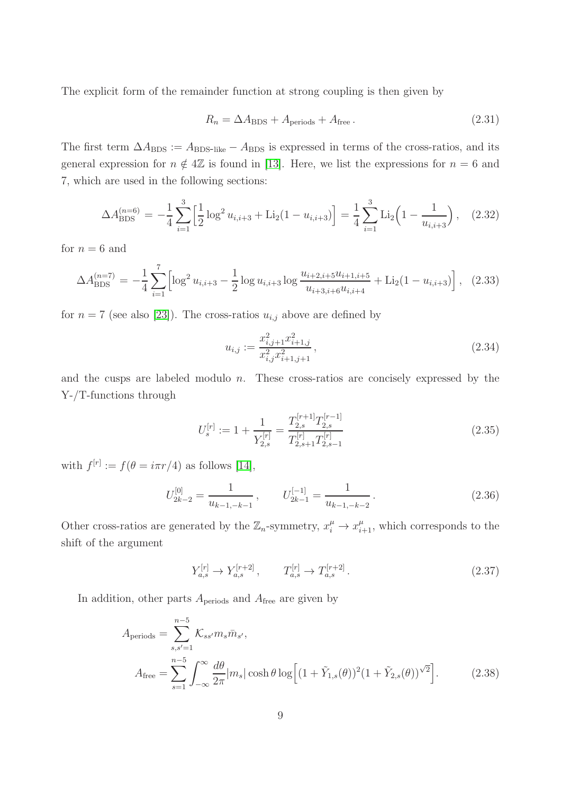The explicit form of the remainder function at strong coupling is then given by

$$
R_n = \Delta A_{\rm BDS} + A_{\rm periods} + A_{\rm free} \,. \tag{2.31}
$$

The first term  $\Delta A_{\rm BDS} := A_{\rm BDS-like} - A_{\rm BDS}$  is expressed in terms of the cross-ratios, and its general expression for  $n \notin 4\mathbb{Z}$  is found in [\[13\]](#page-39-10). Here, we list the expressions for  $n = 6$  and 7, which are used in the following sections:

<span id="page-9-1"></span>
$$
\Delta A_{\rm BDS}^{(n=6)} = -\frac{1}{4} \sum_{i=1}^{3} \left[ \frac{1}{2} \log^2 u_{i,i+3} + \text{Li}_2(1 - u_{i,i+3}) \right] = \frac{1}{4} \sum_{i=1}^{3} \text{Li}_2\left(1 - \frac{1}{u_{i,i+3}}\right), \quad (2.32)
$$

for  $n = 6$  and

<span id="page-9-2"></span>
$$
\Delta A_{\rm BDS}^{(n=7)} = -\frac{1}{4} \sum_{i=1}^{7} \left[ \log^2 u_{i,i+3} - \frac{1}{2} \log u_{i,i+3} \log \frac{u_{i+2,i+5} u_{i+1,i+5}}{u_{i+3,i+6} u_{i,i+4}} + \text{Li}_2(1 - u_{i,i+3}) \right], \quad (2.33)
$$

for  $n = 7$  (see also [\[23\]](#page-40-15)). The cross-ratios  $u_{i,j}$  above are defined by

$$
u_{i,j} := \frac{x_{i,j+1}^2 x_{i+1,j}^2}{x_{i,j}^2 x_{i+1,j+1}^2},\tag{2.34}
$$

and the cusps are labeled modulo  $n$ . These cross-ratios are concisely expressed by the Y-/T-functions through

<span id="page-9-0"></span>
$$
U_s^{[r]} := 1 + \frac{1}{Y_{2,s}^{[r]}} = \frac{T_{2,s}^{[r+1]} T_{2,s}^{[r-1]}}{T_{2,s+1}^{[r]} T_{2,s-1}^{[r]}}\tag{2.35}
$$

with  $f^{[r]} := f(\theta = i\pi r/4)$  as follows [\[14\]](#page-39-16),

$$
U_{2k-2}^{[0]} = \frac{1}{u_{k-1,-k-1}}, \qquad U_{2k-1}^{[-1]} = \frac{1}{u_{k-1,-k-2}}.
$$
\n(2.36)

Other cross-ratios are generated by the  $\mathbb{Z}_n$ -symmetry,  $x_i^{\mu} \to x_{i+1}^{\mu}$ , which corresponds to the shift of the argument

$$
Y_{a,s}^{[r]} \to Y_{a,s}^{[r+2]} \,, \qquad T_{a,s}^{[r]} \to T_{a,s}^{[r+2]} \,. \tag{2.37}
$$

In addition, other parts  $A_{\text{periods}}$  and  $A_{\text{free}}$  are given by

$$
A_{\text{periods}} = \sum_{s,s'=1}^{n-5} \mathcal{K}_{ss'} m_s \bar{m}_{s'},
$$
  

$$
A_{\text{free}} = \sum_{s=1}^{n-5} \int_{-\infty}^{\infty} \frac{d\theta}{2\pi} |m_s| \cosh \theta \log \left[ (1 + \tilde{Y}_{1,s}(\theta))^2 (1 + \tilde{Y}_{2,s}(\theta))^{\sqrt{2}} \right].
$$
 (2.38)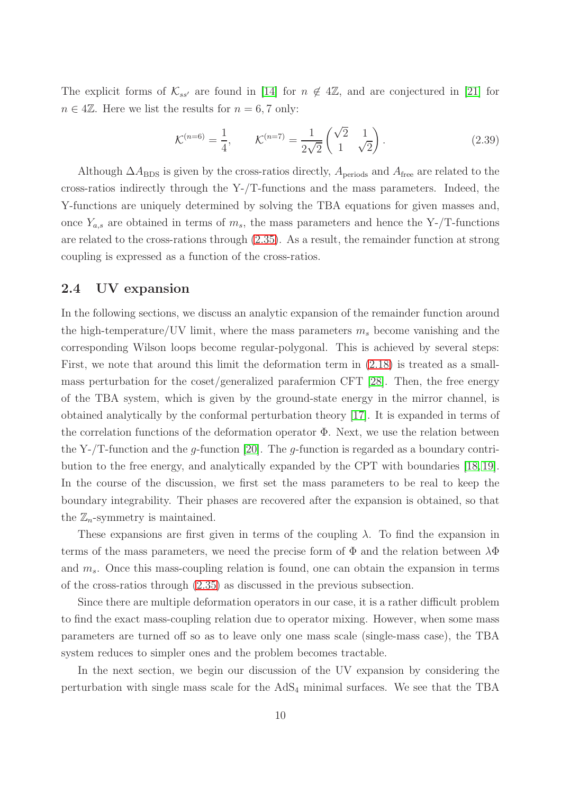The explicit forms of  $\mathcal{K}_{ss'}$  are found in [\[14\]](#page-39-16) for  $n \notin 4\mathbb{Z}$ , and are conjectured in [\[21\]](#page-40-1) for  $n \in 4\mathbb{Z}$ . Here we list the results for  $n = 6, 7$  only:

$$
\mathcal{K}^{(n=6)} = \frac{1}{4}, \qquad \mathcal{K}^{(n=7)} = \frac{1}{2\sqrt{2}} \begin{pmatrix} \sqrt{2} & 1\\ 1 & \sqrt{2} \end{pmatrix}.
$$
 (2.39)

Although  $\Delta A_{\rm BDS}$  is given by the cross-ratios directly,  $A_{\rm periods}$  and  $A_{\rm free}$  are related to the cross-ratios indirectly through the Y-/T-functions and the mass parameters. Indeed, the Y-functions are uniquely determined by solving the TBA equations for given masses and, once  $Y_{a,s}$  are obtained in terms of  $m_s$ , the mass parameters and hence the Y-/T-functions are related to the cross-rations through [\(2.35\)](#page-9-0). As a result, the remainder function at strong coupling is expressed as a function of the cross-ratios.

## 2.4 UV expansion

In the following sections, we discuss an analytic expansion of the remainder function around the high-temperature/UV limit, where the mass parameters  $m_s$  become vanishing and the corresponding Wilson loops become regular-polygonal. This is achieved by several steps: First, we note that around this limit the deformation term in [\(2.18\)](#page-6-0) is treated as a smallmass perturbation for the coset/generalized parafermion CFT [\[28\]](#page-40-5). Then, the free energy of the TBA system, which is given by the ground-state energy in the mirror channel, is obtained analytically by the conformal perturbation theory [\[17\]](#page-39-13). It is expanded in terms of the correlation functions of the deformation operator  $\Phi$ . Next, we use the relation between the Y-/T-function and the g-function [\[20\]](#page-40-0). The g-function is regarded as a boundary contribution to the free energy, and analytically expanded by the CPT with boundaries [\[18,](#page-39-14) [19\]](#page-39-15). In the course of the discussion, we first set the mass parameters to be real to keep the boundary integrability. Their phases are recovered after the expansion is obtained, so that the  $\mathbb{Z}_n$ -symmetry is maintained.

These expansions are first given in terms of the coupling  $\lambda$ . To find the expansion in terms of the mass parameters, we need the precise form of  $\Phi$  and the relation between  $\lambda \Phi$ and  $m_s$ . Once this mass-coupling relation is found, one can obtain the expansion in terms of the cross-ratios through [\(2.35\)](#page-9-0) as discussed in the previous subsection.

Since there are multiple deformation operators in our case, it is a rather difficult problem to find the exact mass-coupling relation due to operator mixing. However, when some mass parameters are turned off so as to leave only one mass scale (single-mass case), the TBA system reduces to simpler ones and the problem becomes tractable.

In the next section, we begin our discussion of the UV expansion by considering the perturbation with single mass scale for the  $AdS<sub>4</sub>$  minimal surfaces. We see that the TBA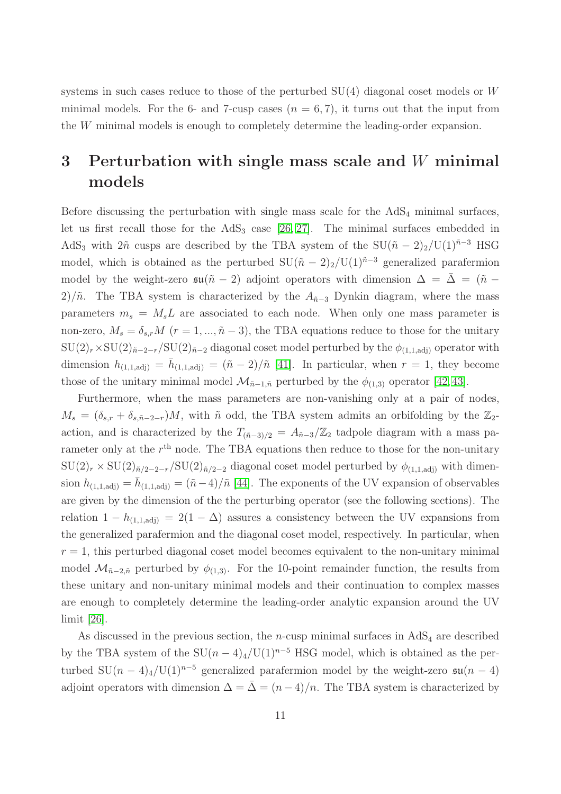systems in such cases reduce to those of the perturbed  $SU(4)$  diagonal coset models or W minimal models. For the 6- and 7-cusp cases  $(n = 6, 7)$ , it turns out that the input from the W minimal models is enough to completely determine the leading-order expansion.

# <span id="page-11-0"></span>3 Perturbation with single mass scale and  $W$  minimal models

Before discussing the perturbation with single mass scale for the  $AdS<sub>4</sub>$  minimal surfaces, let us first recall those for the  $AdS_3$  case  $[26, 27]$  $[26, 27]$ . The minimal surfaces embedded in AdS<sub>3</sub> with  $2\tilde{n}$  cusps are described by the TBA system of the SU( $\tilde{n} - 2$ )<sub>2</sub>/U(1)<sup> $\tilde{n}$ -3 HSG</sup> model, which is obtained as the perturbed  $SU(\tilde{n} - 2)_2/U(1)^{\tilde{n}-3}$  generalized parafermion model by the weight-zero  $\mathfrak{su}(\tilde{n} - 2)$  adjoint operators with dimension  $\Delta = \Delta = (\tilde{n} -$ 2)/ $\tilde{n}$ . The TBA system is characterized by the  $A_{\tilde{n}-3}$  Dynkin diagram, where the mass parameters  $m_s = M_s L$  are associated to each node. When only one mass parameter is non-zero,  $M_s = \delta_{s,r} M$  ( $r = 1, ..., \tilde{n} - 3$ ), the TBA equations reduce to those for the unitary  $\text{SU}(2)_r\times \text{SU}(2)_{\tilde{n}-2-r}/\text{SU}(2)_{\tilde{n}-2}$  diagonal coset model perturbed by the  $\phi_{(1,1,\text{adj})}$  operator with dimension  $h_{(1,1,\text{adj})} = \bar{h}_{(1,1,\text{adj})} = (\tilde{n} - 2)/\tilde{n}$  [\[41\]](#page-41-0). In particular, when  $r = 1$ , they become those of the unitary minimal model  $\mathcal{M}_{\tilde{n}-1,\tilde{n}}$  perturbed by the  $\phi_{(1,3)}$  operator [\[42,](#page-41-1)43].

Furthermore, when the mass parameters are non-vanishing only at a pair of nodes,  $M_s = (\delta_{s,r} + \delta_{s,\tilde{n}-2-r})M$ , with  $\tilde{n}$  odd, the TBA system admits an orbifolding by the  $\mathbb{Z}_2$ action, and is characterized by the  $T_{(\tilde{n}-3)/2} = A_{\tilde{n}-3}/\mathbb{Z}_2$  tadpole diagram with a mass parameter only at the  $r<sup>th</sup>$  node. The TBA equations then reduce to those for the non-unitary  $\text{SU}(2)_r \times \text{SU}(2)_{\tilde{n}/2-2-r}/\text{SU}(2)_{\tilde{n}/2-2}$  diagonal coset model perturbed by  $\phi_{(1,1,\text{adj})}$  with dimension  $h_{(1,1,\text{adj})} = \bar{h}_{(1,1,\text{adj})} = (\tilde{n}-4)/\tilde{n}$  [\[44\]](#page-41-3). The exponents of the UV expansion of observables are given by the dimension of the the perturbing operator (see the following sections). The relation  $1 - h_{(1,1,adj)} = 2(1 - \Delta)$  assures a consistency between the UV expansions from the generalized parafermion and the diagonal coset model, respectively. In particular, when  $r = 1$ , this perturbed diagonal coset model becomes equivalent to the non-unitary minimal model  $\mathcal{M}_{\tilde{n}-2,\tilde{n}}$  perturbed by  $\phi_{(1,3)}$ . For the 10-point remainder function, the results from these unitary and non-unitary minimal models and their continuation to complex masses are enough to completely determine the leading-order analytic expansion around the UV limit [\[26\]](#page-40-3).

As discussed in the previous section, the *n*-cusp minimal surfaces in  $AdS<sub>4</sub>$  are described by the TBA system of the  $SU(n-4)_4/U(1)^{n-5}$  HSG model, which is obtained as the perturbed SU $(n-4)$ <sub>4</sub>/U(1)<sup>n-5</sup> generalized parafermion model by the weight-zero  $\mathfrak{su}(n-4)$ adjoint operators with dimension  $\Delta = \bar{\Delta} = (n-4)/n$ . The TBA system is characterized by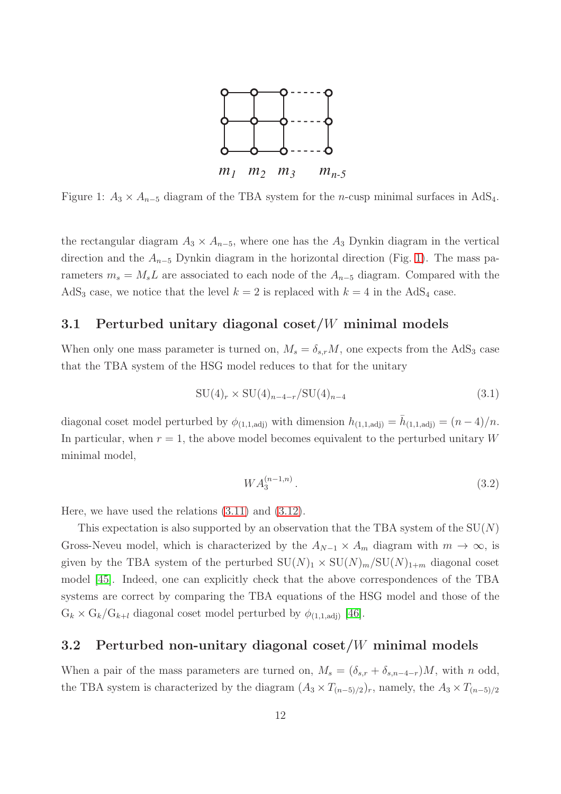

<span id="page-12-0"></span>Figure 1:  $A_3 \times A_{n-5}$  diagram of the TBA system for the *n*-cusp minimal surfaces in AdS<sub>4</sub>.

the rectangular diagram  $A_3 \times A_{n-5}$ , where one has the  $A_3$  Dynkin diagram in the vertical direction and the  $A_{n-5}$  Dynkin diagram in the horizontal direction (Fig. [1\)](#page-12-0). The mass parameters  $m_s = M_s L$  are associated to each node of the  $A_{n-5}$  diagram. Compared with the AdS<sub>3</sub> case, we notice that the level  $k = 2$  is replaced with  $k = 4$  in the AdS<sub>4</sub> case.

## <span id="page-12-1"></span>3.1 Perturbed unitary diagonal coset/W minimal models

When only one mass parameter is turned on,  $M_s = \delta_{s,r} M$ , one expects from the AdS<sub>3</sub> case that the TBA system of the HSG model reduces to that for the unitary

$$
SU(4)_r \times SU(4)_{n-4-r}/SU(4)_{n-4}
$$
\n(3.1)

diagonal coset model perturbed by  $\phi_{(1,1,\text{adj})}$  with dimension  $h_{(1,1,\text{adj})} = \bar{h}_{(1,1,\text{adj})} = (n-4)/n$ . In particular, when  $r = 1$ , the above model becomes equivalent to the perturbed unitary W minimal model,

$$
WA_3^{(n-1,n)}.\t\t(3.2)
$$

Here, we have used the relations [\(3.11\)](#page-14-0) and [\(3.12\)](#page-14-1).

This expectation is also supported by an observation that the TBA system of the  $SU(N)$ Gross-Neveu model, which is characterized by the  $A_{N-1} \times A_m$  diagram with  $m \to \infty$ , is given by the TBA system of the perturbed  $SU(N)_1 \times SU(N)_m/SU(N)_{1+m}$  diagonal coset model [\[45\]](#page-41-4). Indeed, one can explicitly check that the above correspondences of the TBA systems are correct by comparing the TBA equations of the HSG model and those of the  $G_k \times G_k / G_{k+l}$  diagonal coset model perturbed by  $\phi_{(1,1,adj)}$  [\[46\]](#page-41-5).

## <span id="page-12-2"></span>3.2 Perturbed non-unitary diagonal coset/W minimal models

When a pair of the mass parameters are turned on,  $M_s = (\delta_{s,r} + \delta_{s,n-4-r})M$ , with n odd, the TBA system is characterized by the diagram  $(A_3 \times T_{(n-5)/2})_r$ , namely, the  $A_3 \times T_{(n-5)/2}$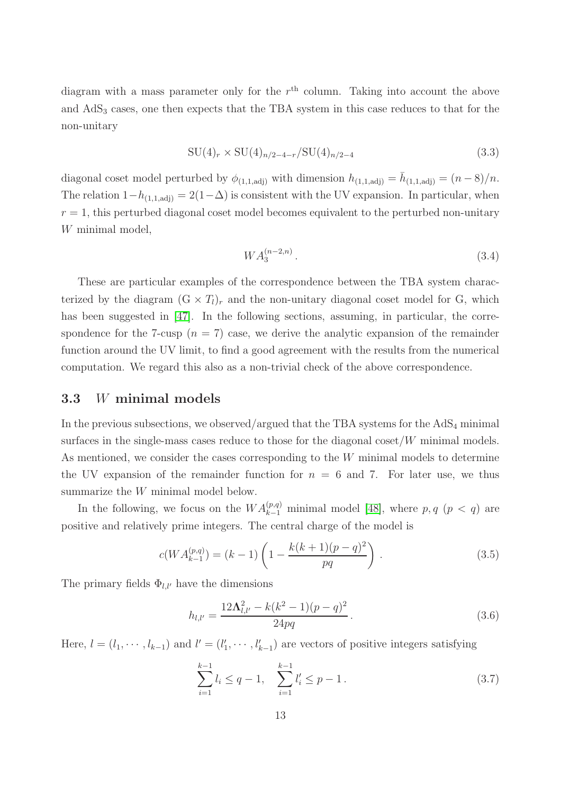diagram with a mass parameter only for the  $r<sup>th</sup>$  column. Taking into account the above and  $AdS<sub>3</sub>$  cases, one then expects that the TBA system in this case reduces to that for the non-unitary

$$
SU(4)_r \times SU(4)_{n/2-4-r}/SU(4)_{n/2-4}
$$
\n(3.3)

diagonal coset model perturbed by  $\phi_{(1,1,\text{adj})}$  with dimension  $h_{(1,1,\text{adj})} = \bar{h}_{(1,1,\text{adj})} = (n-8)/n$ . The relation  $1-h_{(1,1,\text{adj})} = 2(1-\Delta)$  is consistent with the UV expansion. In particular, when  $r = 1$ , this perturbed diagonal coset model becomes equivalent to the perturbed non-unitary W minimal model,

$$
WA_3^{(n-2,n)}.\t\t(3.4)
$$

These are particular examples of the correspondence between the TBA system characterized by the diagram  $(G \times T_l)_r$  and the non-unitary diagonal coset model for G, which has been suggested in [\[47\]](#page-41-6). In the following sections, assuming, in particular, the correspondence for the 7-cusp  $(n = 7)$  case, we derive the analytic expansion of the remainder function around the UV limit, to find a good agreement with the results from the numerical computation. We regard this also as a non-trivial check of the above correspondence.

#### 3.3 W minimal models

In the previous subsections, we observed/argued that the TBA systems for the  $AdS_4$  minimal surfaces in the single-mass cases reduce to those for the diagonal coset/W minimal models. As mentioned, we consider the cases corresponding to the W minimal models to determine the UV expansion of the remainder function for  $n = 6$  and 7. For later use, we thus summarize the W minimal model below.

In the following, we focus on the  $WA_{k-1}^{(p,q)}$  minimal model [\[48\]](#page-41-7), where  $p, q \ (p \lt q)$  are positive and relatively prime integers. The central charge of the model is

<span id="page-13-1"></span>
$$
c(WA_{k-1}^{(p,q)}) = (k-1)\left(1 - \frac{k(k+1)(p-q)^2}{pq}\right). \tag{3.5}
$$

The primary fields  $\Phi_{l,l'}$  have the dimensions

<span id="page-13-0"></span>
$$
h_{l,l'} = \frac{12\Lambda_{l,l'}^2 - k(k^2 - 1)(p - q)^2}{24pq}.
$$
\n(3.6)

Here,  $l = (l_1, \dots, l_{k-1})$  and  $l' = (l'_1, \dots, l'_{k-1})$  are vectors of positive integers satisfying

$$
\sum_{i=1}^{k-1} l_i \le q - 1, \quad \sum_{i=1}^{k-1} l'_i \le p - 1.
$$
 (3.7)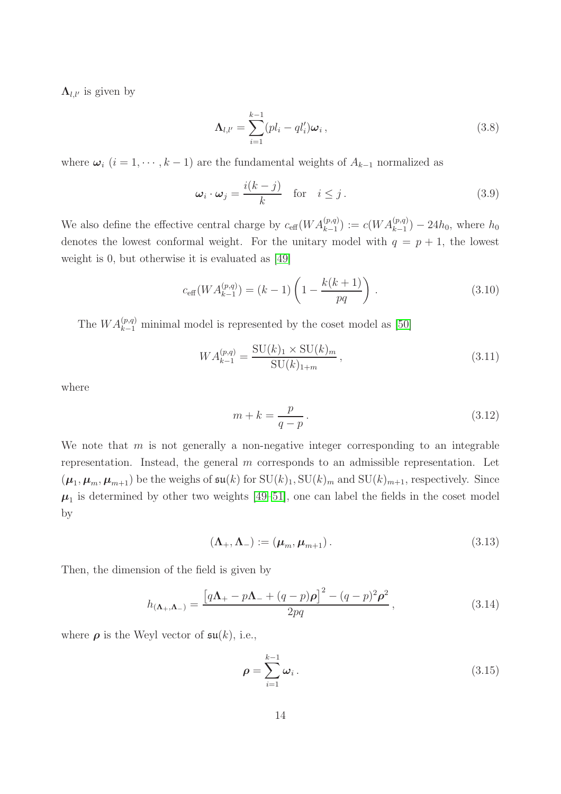$\Lambda_{l,l'}$  is given by

$$
\mathbf{\Lambda}_{l,l'} = \sum_{i=1}^{k-1} (pl_i - ql'_i)\boldsymbol{\omega}_i , \qquad (3.8)
$$

where  $\omega_i$  (i = 1, · · · , k − 1) are the fundamental weights of  $A_{k-1}$  normalized as

$$
\omega_i \cdot \omega_j = \frac{i(k-j)}{k} \quad \text{for} \quad i \le j. \tag{3.9}
$$

We also define the effective central charge by  $c_{\text{eff}}(WA_{k-1}^{(p,q)}):=c(WA_{k-1}^{(p,q)})-24h_0$ , where  $h_0$ denotes the lowest conformal weight. For the unitary model with  $q = p + 1$ , the lowest weight is 0, but otherwise it is evaluated as [\[49\]](#page-41-8)

$$
c_{\text{eff}}(WA_{k-1}^{(p,q)}) = (k-1)\left(1 - \frac{k(k+1)}{pq}\right). \tag{3.10}
$$

The  $WA_{k-1}^{(p,q)}$  minimal model is represented by the coset model as [\[50\]](#page-41-9)

<span id="page-14-0"></span>
$$
WA_{k-1}^{(p,q)} = \frac{\text{SU}(k)_1 \times \text{SU}(k)_m}{\text{SU}(k)_{1+m}},
$$
\n(3.11)

where

<span id="page-14-1"></span>
$$
m + k = \frac{p}{q - p}.
$$
\n
$$
(3.12)
$$

We note that  $m$  is not generally a non-negative integer corresponding to an integrable representation. Instead, the general  $m$  corresponds to an admissible representation. Let  $(\mu_1, \mu_m, \mu_{m+1})$  be the weighs of  $\mathfrak{su}(k)$  for  $\mathrm{SU}(k)_1$ ,  $\mathrm{SU}(k)_m$  and  $\mathrm{SU}(k)_{m+1}$ , respectively. Since  $\mu_1$  is determined by other two weights [\[49](#page-41-8)[–51\]](#page-41-10), one can label the fields in the coset model by

$$
(\Lambda_+,\Lambda_-):=(\mu_m,\mu_{m+1}).
$$
\n(3.13)

Then, the dimension of the field is given by

<span id="page-14-2"></span>
$$
h_{(\mathbf{\Lambda}_{+},\mathbf{\Lambda}_{-})} = \frac{\left[q\mathbf{\Lambda}_{+} - p\mathbf{\Lambda}_{-} + (q-p)\boldsymbol{\rho}\right]^{2} - (q-p)^{2}\boldsymbol{\rho}^{2}}{2pq},
$$
\n(3.14)

where  $\rho$  is the Weyl vector of  $\mathfrak{su}(k)$ , i.e.,

$$
\rho = \sum_{i=1}^{k-1} \omega_i \,. \tag{3.15}
$$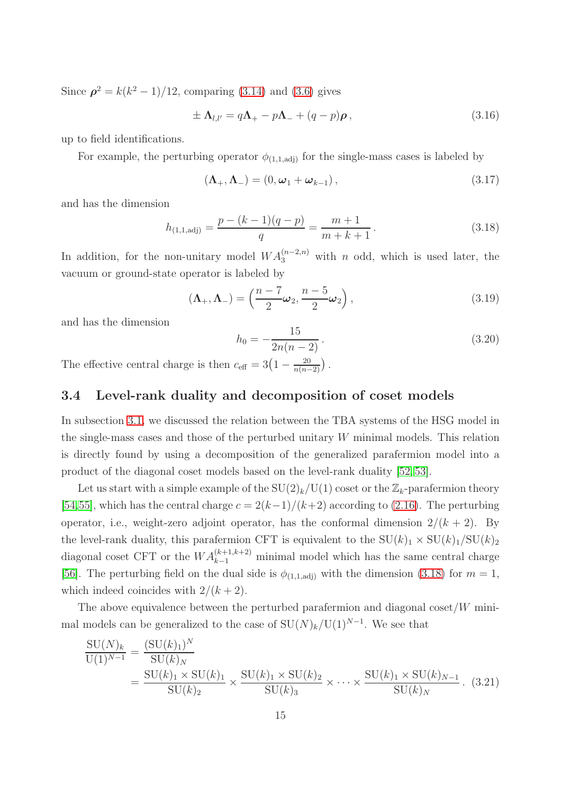Since  $\rho^2 = k(k^2 - 1)/12$ , comparing [\(3.14\)](#page-14-2) and [\(3.6\)](#page-13-0) gives

$$
\pm \Lambda_{l,l'} = q\Lambda_+ - p\Lambda_- + (q-p)\rho \,, \tag{3.16}
$$

up to field identifications.

For example, the perturbing operator  $\phi_{(1,1,\text{adj})}$  for the single-mass cases is labeled by

<span id="page-15-2"></span>
$$
\left(\mathbf{\Lambda}_{+},\mathbf{\Lambda}_{-}\right)=\left(0,\boldsymbol{\omega}_{1}+\boldsymbol{\omega}_{k-1}\right),\tag{3.17}
$$

and has the dimension

<span id="page-15-0"></span>
$$
h_{(1,1,\text{adj})} = \frac{p - (k-1)(q-p)}{q} = \frac{m+1}{m+k+1}.
$$
\n(3.18)

In addition, for the non-unitary model  $WA_3^{(n-2,n)}$  with n odd, which is used later, the vacuum or ground-state operator is labeled by

<span id="page-15-3"></span>
$$
(\mathbf{\Lambda}_{+}, \mathbf{\Lambda}_{-}) = \left(\frac{n-7}{2}\boldsymbol{\omega}_{2}, \frac{n-5}{2}\boldsymbol{\omega}_{2}\right), \tag{3.19}
$$

and has the dimension

$$
h_0 = -\frac{15}{2n(n-2)}.\t(3.20)
$$

The effective central charge is then  $c_{\text{eff}} = 3\left(1 - \frac{20}{n(n-2)}\right)$ .

## 3.4 Level-rank duality and decomposition of coset models

In subsection [3.1,](#page-12-1) we discussed the relation between the TBA systems of the HSG model in the single-mass cases and those of the perturbed unitary W minimal models. This relation is directly found by using a decomposition of the generalized parafermion model into a product of the diagonal coset models based on the level-rank duality [\[52,](#page-41-11) [53\]](#page-41-12).

Let us start with a simple example of the  $SU(2)_k/U(1)$  coset or the  $\mathbb{Z}_k$ -parafermion theory [\[54,](#page-41-13)[55\]](#page-41-14), which has the central charge  $c = 2(k-1)/(k+2)$  according to [\(2.16\)](#page-6-1). The perturbing operator, i.e., weight-zero adjoint operator, has the conformal dimension  $2/(k+2)$ . By the level-rank duality, this parafermion CFT is equivalent to the  $SU(k)_1 \times SU(k)_1 / SU(k)_2$ diagonal coset CFT or the  $WA_{k-1}^{(k+1,k+2)}$  minimal model which has the same central charge [\[56\]](#page-41-15). The perturbing field on the dual side is  $\phi_{(1,1,\text{adj})}$  with the dimension [\(3.18\)](#page-15-0) for  $m=1$ , which indeed coincides with  $2/(k+2)$ .

The above equivalence between the perturbed parafermion and diagonal coset/ $W$  minimal models can be generalized to the case of  $SU(N)_k/U(1)^{N-1}$ . We see that

<span id="page-15-1"></span>
$$
\frac{\mathrm{SU}(N)_k}{\mathrm{U}(1)^{N-1}} = \frac{(\mathrm{SU}(k)_1)^N}{\mathrm{SU}(k)_1 \times \mathrm{SU}(k)_1} \times \frac{\mathrm{SU}(k)_1 \times \mathrm{SU}(k)_2}{\mathrm{SU}(k)_3} \times \cdots \times \frac{\mathrm{SU}(k)_1 \times \mathrm{SU}(k)_{N-1}}{\mathrm{SU}(k)_N}.
$$
(3.21)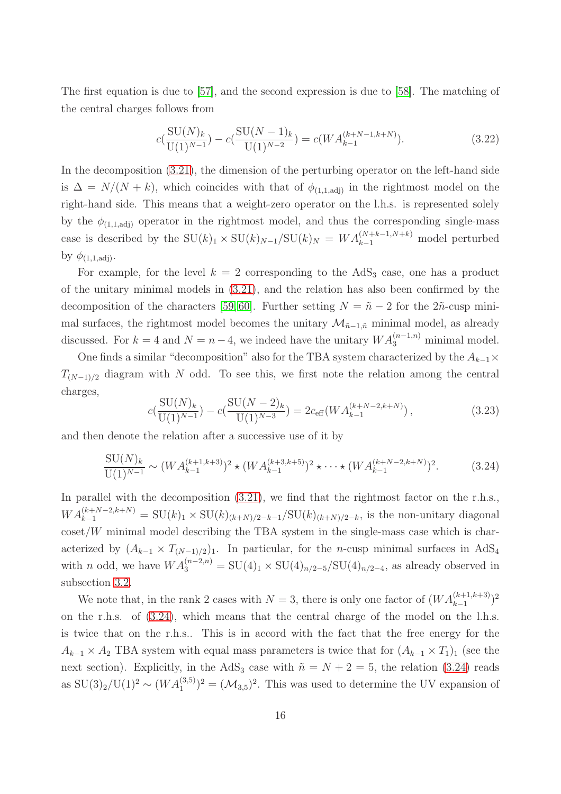The first equation is due to [\[57\]](#page-41-16), and the second expression is due to [\[58\]](#page-41-17). The matching of the central charges follows from

$$
c\left(\frac{\text{SU}(N)_k}{\text{U}(1)^{N-1}}\right) - c\left(\frac{\text{SU}(N-1)_k}{\text{U}(1)^{N-2}}\right) = c(WA_{k-1}^{(k+N-1,k+N)}).
$$
\n(3.22)

In the decomposition  $(3.21)$ , the dimension of the perturbing operator on the left-hand side is  $\Delta = N/(N + k)$ , which coincides with that of  $\phi_{(1,1,\text{adj})}$  in the rightmost model on the right-hand side. This means that a weight-zero operator on the l.h.s. is represented solely by the  $\phi_{(1,1,\text{adj})}$  operator in the rightmost model, and thus the corresponding single-mass case is described by the  $SU(k)_1 \times SU(k)_{N-1}/SU(k)_N = WA_{k-1}^{(N+k-1,N+k)}$  model perturbed by  $\phi_{(1,1,\text{adj})}$ .

For example, for the level  $k = 2$  corresponding to the AdS<sub>3</sub> case, one has a product of the unitary minimal models in [\(3.21\)](#page-15-1), and the relation has also been confirmed by the decomposition of the characters [\[59,](#page-41-18) [60\]](#page-41-19). Further setting  $N = \tilde{n} - 2$  for the  $2\tilde{n}$ -cusp minimal surfaces, the rightmost model becomes the unitary  $\mathcal{M}_{n-1,n}$  minimal model, as already discussed. For  $k = 4$  and  $N = n - 4$ , we indeed have the unitary  $WA_3^{(n-1,n)}$  minimal model.

One finds a similar "decomposition" also for the TBA system characterized by the  $A_{k-1}\times$  $T_{(N-1)/2}$  diagram with N odd. To see this, we first note the relation among the central charges,

$$
c\left(\frac{\text{SU}(N)_k}{\text{U}(1)^{N-1}}\right) - c\left(\frac{\text{SU}(N-2)_k}{\text{U}(1)^{N-3}}\right) = 2c_{\text{eff}}\left(WA_{k-1}^{(k+N-2,k+N)}\right),\tag{3.23}
$$

and then denote the relation after a successive use of it by

<span id="page-16-0"></span>
$$
\frac{\text{SU}(N)_k}{\text{U}(1)^{N-1}} \sim (WA_{k-1}^{(k+1,k+3)})^2 \star (WA_{k-1}^{(k+3,k+5)})^2 \star \cdots \star (WA_{k-1}^{(k+N-2,k+N)})^2. \tag{3.24}
$$

In parallel with the decomposition  $(3.21)$ , we find that the rightmost factor on the r.h.s.,  $WA_{k-1}^{(k+N-2,k+N)} = SU(k)_1 \times SU(k)_{(k+N)/2-k-1}/SU(k)_{(k+N)/2-k}$ , is the non-unitary diagonal  $\coset/W$  minimal model describing the TBA system in the single-mass case which is characterized by  $(A_{k-1} \times T_{(N-1)/2})_1$ . In particular, for the *n*-cusp minimal surfaces in AdS<sub>4</sub> with *n* odd, we have  $WA_3^{(n-2,n)} = SU(4)_1 \times SU(4)_{n/2-5}/SU(4)_{n/2-4}$ , as already observed in subsection [3.2.](#page-12-2)

We note that, in the rank 2 cases with  $N = 3$ , there is only one factor of  $(WA_{k-1}^{(k+1,k+3)})^2$ on the r.h.s. of [\(3.24\)](#page-16-0), which means that the central charge of the model on the l.h.s. is twice that on the r.h.s.. This is in accord with the fact that the free energy for the  $A_{k-1} \times A_2$  TBA system with equal mass parameters is twice that for  $(A_{k-1} \times T_1)_1$  (see the next section). Explicitly, in the AdS<sub>3</sub> case with  $\tilde{n} = N + 2 = 5$ , the relation [\(3.24\)](#page-16-0) reads as  $SU(3)_2/U(1)^2 \sim (WA_1^{(3,5)})^2 = (M_{3,5})^2$ . This was used to determine the UV expansion of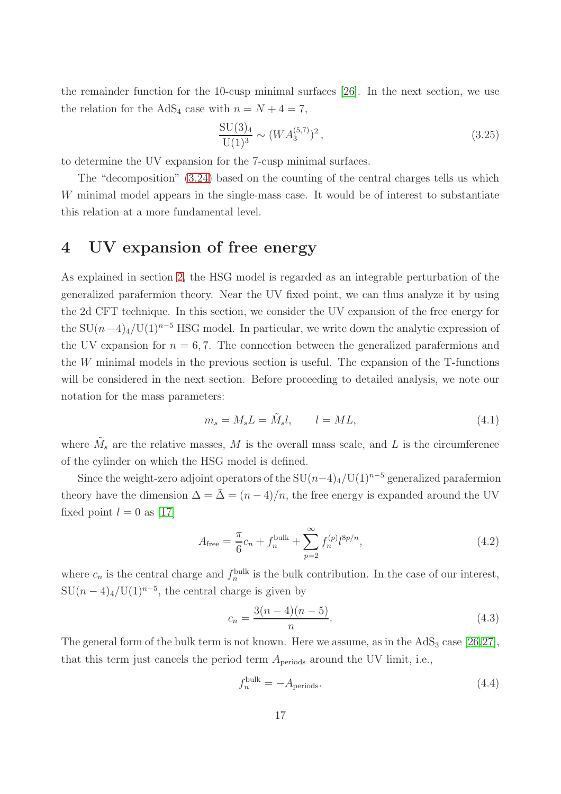the remainder function for the 10-cusp minimal surfaces [\[26\]](#page-40-3). In the next section, we use the relation for the AdS<sub>4</sub> case with  $n = N + 4 = 7$ ,

$$
\frac{\mathrm{SU}(3)_4}{\mathrm{U}(1)^3} \sim (WA_3^{(5,7)})^2\,,\tag{3.25}
$$

to determine the UV expansion for the 7-cusp minimal surfaces.

The "decomposition" [\(3.24\)](#page-16-0) based on the counting of the central charges tells us which W minimal model appears in the single-mass case. It would be of interest to substantiate this relation at a more fundamental level.

# <span id="page-17-0"></span>4 UV expansion of free energy

As explained in section [2,](#page-3-1) the HSG model is regarded as an integrable perturbation of the generalized parafermion theory. Near the UV fixed point, we can thus analyze it by using the 2d CFT technique. In this section, we consider the UV expansion of the free energy for the SU $(n-4)$ <sub>4</sub>/U(1)<sup>n–5</sup> HSG model. In particular, we write down the analytic expression of the UV expansion for  $n = 6, 7$ . The connection between the generalized parafermions and the W minimal models in the previous section is useful. The expansion of the T-functions will be considered in the next section. Before proceeding to detailed analysis, we note our notation for the mass parameters:

$$
m_s = M_s L = \tilde{M}_s l, \qquad l = ML,\tag{4.1}
$$

where  $\tilde{M}_s$  are the relative masses, M is the overall mass scale, and L is the circumference of the cylinder on which the HSG model is defined.

Since the weight-zero adjoint operators of the  $SU(n-4)_4/U(1)^{n-5}$  generalized parafermion theory have the dimension  $\Delta = \bar{\Delta} = (n-4)/n$ , the free energy is expanded around the UV fixed point  $l = 0$  as [\[17\]](#page-39-13)

$$
A_{\text{free}} = \frac{\pi}{6}c_n + f_n^{\text{bulk}} + \sum_{p=2}^{\infty} f_n^{(p)} l^{8p/n}, \qquad (4.2)
$$

where  $c_n$  is the central charge and  $f_n^{\text{bulk}}$  is the bulk contribution. In the case of our interest,  $SU(n-4)<sub>4</sub>/U(1)<sup>n-5</sup>$ , the central charge is given by

$$
c_n = \frac{3(n-4)(n-5)}{n}.\tag{4.3}
$$

The general form of the bulk term is not known. Here we assume, as in the  $AdS_3$  case [\[26,](#page-40-3)[27\]](#page-40-4), that this term just cancels the period term  $A_{\text{periods}}$  around the UV limit, i.e.,

$$
f_n^{\text{bulk}} = -A_{\text{periods}}.\tag{4.4}
$$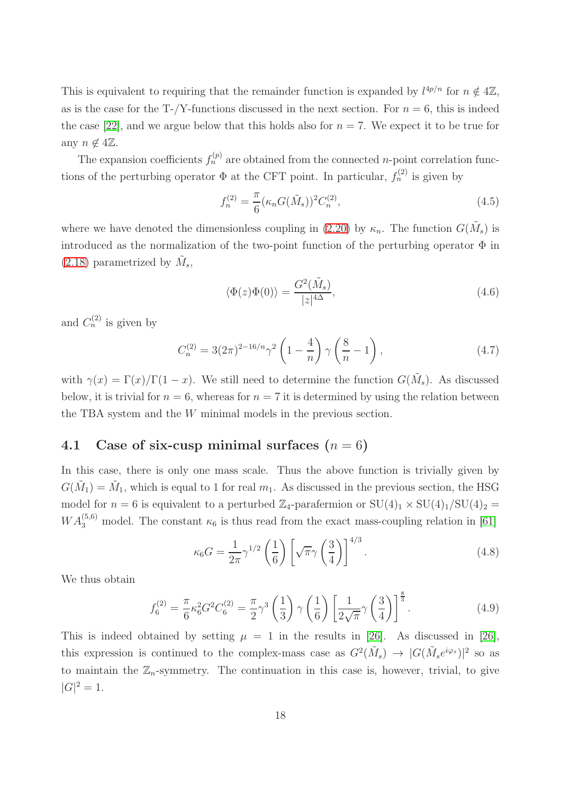This is equivalent to requiring that the remainder function is expanded by  $l^{4p/n}$  for  $n \notin 4\mathbb{Z}$ , as is the case for the T-/Y-functions discussed in the next section. For  $n = 6$ , this is indeed the case [\[22\]](#page-40-16), and we argue below that this holds also for  $n = 7$ . We expect it to be true for any  $n \notin 4\mathbb{Z}$ .

The expansion coefficients  $f_n^{(p)}$  are obtained from the connected *n*-point correlation functions of the perturbing operator  $\Phi$  at the CFT point. In particular,  $f_n^{(2)}$  is given by

$$
f_n^{(2)} = \frac{\pi}{6} (\kappa_n G(\tilde{M}_s))^2 C_n^{(2)},
$$
\n(4.5)

where we have denoted the dimensionless coupling in [\(2.20\)](#page-7-0) by  $\kappa_n$ . The function  $G(\tilde{M}_s)$  is introduced as the normalization of the two-point function of the perturbing operator  $\Phi$  in [\(2.18\)](#page-6-0) parametrized by  $\tilde{M}_s$ ,

<span id="page-18-0"></span>
$$
\langle \Phi(z)\Phi(0)\rangle = \frac{G^2(\tilde{M}_s)}{|z|^{4\Delta}},\tag{4.6}
$$

and  $C_n^{(2)}$  is given by

$$
C_n^{(2)} = 3(2\pi)^{2-16/n} \gamma^2 \left(1 - \frac{4}{n}\right) \gamma \left(\frac{8}{n} - 1\right),\tag{4.7}
$$

with  $\gamma(x) = \Gamma(x)/\Gamma(1-x)$ . We still need to determine the function  $G(\tilde{M}_s)$ . As discussed below, it is trivial for  $n = 6$ , whereas for  $n = 7$  it is determined by using the relation between the TBA system and the W minimal models in the previous section.

## 4.1 Case of six-cusp minimal surfaces  $(n = 6)$

In this case, there is only one mass scale. Thus the above function is trivially given by  $G(\tilde{M}_1) = \tilde{M}_1$ , which is equal to 1 for real  $m_1$ . As discussed in the previous section, the HSG model for  $n = 6$  is equivalent to a perturbed  $\mathbb{Z}_4$ -parafermion or  $SU(4)_1 \times SU(4)_1/SU(4)_2 =$  $WA_3^{(5,6)}$  model. The constant  $\kappa_6$  is thus read from the exact mass-coupling relation in [\[61\]](#page-41-20)

<span id="page-18-1"></span>
$$
\kappa_6 G = \frac{1}{2\pi} \gamma^{1/2} \left(\frac{1}{6}\right) \left[\sqrt{\pi} \gamma \left(\frac{3}{4}\right)\right]^{4/3}.
$$
 (4.8)

We thus obtain

$$
f_6^{(2)} = \frac{\pi}{6} \kappa_6^2 G^2 C_6^{(2)} = \frac{\pi}{2} \gamma^3 \left(\frac{1}{3}\right) \gamma \left(\frac{1}{6}\right) \left[\frac{1}{2\sqrt{\pi}} \gamma \left(\frac{3}{4}\right)\right]^{\frac{8}{3}}.
$$
 (4.9)

This is indeed obtained by setting  $\mu = 1$  in the results in [\[26\]](#page-40-3). As discussed in [26], this expression is continued to the complex-mass case as  $G^2(\tilde{M}_s) \to |G(\tilde{M}_s e^{i\varphi_s})|^2$  so as to maintain the  $\mathbb{Z}_n$ -symmetry. The continuation in this case is, however, trivial, to give  $|G|^2 = 1.$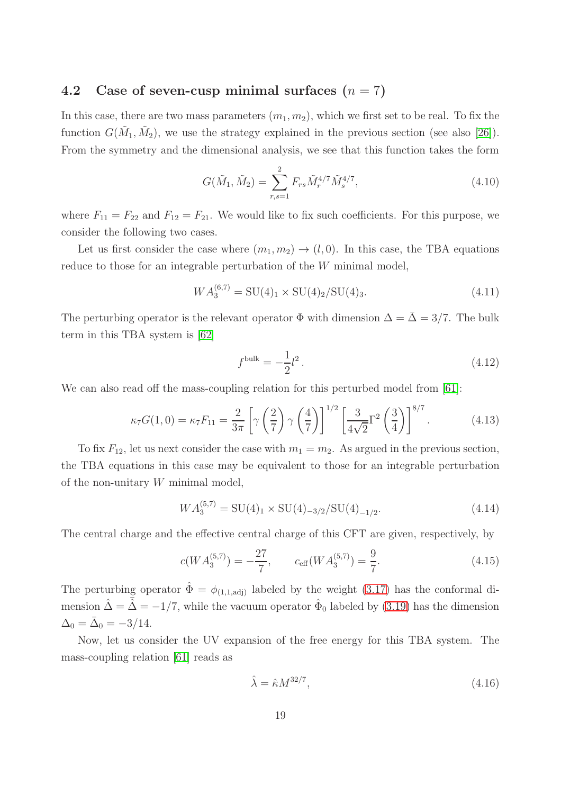## 4.2 Case of seven-cusp minimal surfaces  $(n = 7)$

In this case, there are two mass parameters  $(m_1, m_2)$ , which we first set to be real. To fix the function  $G(\tilde{M}_1, \tilde{M}_2)$ , we use the strategy explained in the previous section (see also [\[26\]](#page-40-3)). From the symmetry and the dimensional analysis, we see that this function takes the form

<span id="page-19-0"></span>
$$
G(\tilde{M}_1, \tilde{M}_2) = \sum_{r,s=1}^{2} F_{rs} \tilde{M}_r^{4/7} \tilde{M}_s^{4/7},
$$
\n(4.10)

where  $F_{11} = F_{22}$  and  $F_{12} = F_{21}$ . We would like to fix such coefficients. For this purpose, we consider the following two cases.

Let us first consider the case where  $(m_1, m_2) \rightarrow (l, 0)$ . In this case, the TBA equations reduce to those for an integrable perturbation of the W minimal model,

$$
WA_3^{(6,7)} = SU(4)_1 \times SU(4)_2 / SU(4)_3.
$$
\n(4.11)

The perturbing operator is the relevant operator  $\Phi$  with dimension  $\Delta = \overline{\Delta} = 3/7$ . The bulk term in this TBA system is [\[62\]](#page-41-21)

<span id="page-19-2"></span><span id="page-19-1"></span>
$$
f^{\text{bulk}} = -\frac{1}{2}l^2. \tag{4.12}
$$

We can also read off the mass-coupling relation for this perturbed model from [\[61\]](#page-41-20):

$$
\kappa_7 G(1,0) = \kappa_7 F_{11} = \frac{2}{3\pi} \left[ \gamma \left( \frac{2}{7} \right) \gamma \left( \frac{4}{7} \right) \right]^{1/2} \left[ \frac{3}{4\sqrt{2}} \Gamma^2 \left( \frac{3}{4} \right) \right]^{8/7} . \tag{4.13}
$$

To fix  $F_{12}$ , let us next consider the case with  $m_1 = m_2$ . As argued in the previous section, the TBA equations in this case may be equivalent to those for an integrable perturbation of the non-unitary W minimal model,

$$
WA_3^{(5,7)} = SU(4)_1 \times SU(4)_{-3/2}/SU(4)_{-1/2}.
$$
 (4.14)

The central charge and the effective central charge of this CFT are given, respectively, by

$$
c(WA_3^{(5,7)}) = -\frac{27}{7}, \qquad c_{\text{eff}}(WA_3^{(5,7)}) = \frac{9}{7}.
$$
 (4.15)

The perturbing operator  $\hat{\Phi} = \phi_{(1,1,\text{adj})}$  labeled by the weight [\(3.17\)](#page-15-2) has the conformal dimension  $\hat{\Delta} = \bar{\hat{\Delta}} = -1/7$ , while the vacuum operator  $\hat{\Phi}_0$  labeled by [\(3.19\)](#page-15-3) has the dimension  $\Delta_0 = \bar{\Delta}_0 = -3/14.$ 

Now, let us consider the UV expansion of the free energy for this TBA system. The mass-coupling relation [\[61\]](#page-41-20) reads as

$$
\hat{\lambda} = \hat{\kappa} M^{32/7},\tag{4.16}
$$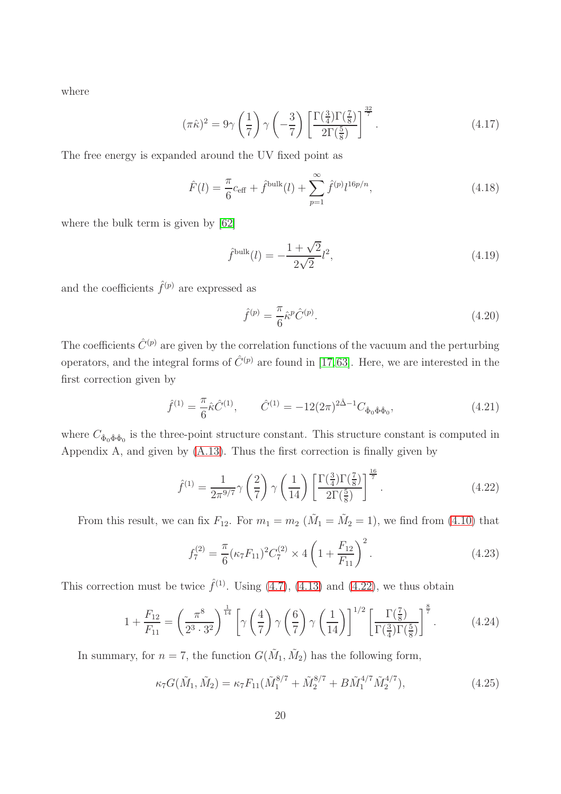where

$$
(\pi \hat{\kappa})^2 = 9\gamma \left(\frac{1}{7}\right) \gamma \left(-\frac{3}{7}\right) \left[\frac{\Gamma(\frac{3}{4})\Gamma(\frac{7}{8})}{2\Gamma(\frac{5}{8})}\right]^{\frac{32}{7}}.
$$
 (4.17)

The free energy is expanded around the UV fixed point as

$$
\hat{F}(l) = \frac{\pi}{6} c_{\text{eff}} + \hat{f}^{\text{bulk}}(l) + \sum_{p=1}^{\infty} \hat{f}^{(p)} l^{16p/n},
$$
\n(4.18)

where the bulk term is given by [\[62\]](#page-41-21)

$$
\hat{f}^{\text{bulk}}(l) = -\frac{1+\sqrt{2}}{2\sqrt{2}}l^2,\tag{4.19}
$$

and the coefficients  $\hat{f}^{(p)}$  are expressed as

<span id="page-20-1"></span><span id="page-20-0"></span>
$$
\hat{f}^{(p)} = \frac{\pi}{6} \hat{\kappa}^p \hat{C}^{(p)}.
$$
\n(4.20)

The coefficients  $\hat{C}^{(p)}$  are given by the correlation functions of the vacuum and the perturbing operators, and the integral forms of  $\hat{C}^{(p)}$  are found in [\[17,](#page-39-13)[63\]](#page-41-22). Here, we are interested in the first correction given by

$$
\hat{f}^{(1)} = \frac{\pi}{6} \hat{\kappa} \hat{C}^{(1)}, \qquad \hat{C}^{(1)} = -12(2\pi)^{2\hat{\Delta}-1} C_{\hat{\Phi}_0 \hat{\Phi} \hat{\Phi}_0}, \tag{4.21}
$$

where  $C_{\hat{\Phi}_0 \hat{\Phi} \hat{\Phi}_0}$  is the three-point structure constant. This structure constant is computed in Appendix A, and given by [\(A.13\)](#page-38-0). Thus the first correction is finally given by

$$
\hat{f}^{(1)} = \frac{1}{2\pi^{9/7}} \gamma \left(\frac{2}{7}\right) \gamma \left(\frac{1}{14}\right) \left[\frac{\Gamma(\frac{3}{4})\Gamma(\frac{7}{8})}{2\Gamma(\frac{5}{8})}\right]^{\frac{16}{7}}.
$$
\n(4.22)

From this result, we can fix  $F_{12}$ . For  $m_1 = m_2$  ( $\tilde{M}_1 = \tilde{M}_2 = 1$ ), we find from [\(4.10\)](#page-19-0) that

<span id="page-20-2"></span>
$$
f_7^{(2)} = \frac{\pi}{6} (\kappa_7 F_{11})^2 C_7^{(2)} \times 4 \left( 1 + \frac{F_{12}}{F_{11}} \right)^2.
$$
 (4.23)

This correction must be twice  $\hat{f}^{(1)}$ . Using [\(4.7\)](#page-18-0), [\(4.13\)](#page-19-1) and [\(4.22\)](#page-20-0), we thus obtain

$$
1 + \frac{F_{12}}{F_{11}} = \left(\frac{\pi^8}{2^3 \cdot 3^2}\right)^{\frac{1}{14}} \left[\gamma \left(\frac{4}{7}\right) \gamma \left(\frac{6}{7}\right) \gamma \left(\frac{1}{14}\right)\right]^{1/2} \left[\frac{\Gamma(\frac{7}{8})}{\Gamma(\frac{3}{4})\Gamma(\frac{5}{8})}\right]^{\frac{8}{7}}.
$$
 (4.24)

In summary, for  $n = 7$ , the function  $G(\tilde{M}_1, \tilde{M}_2)$  has the following form,

$$
\kappa_7 G(\tilde{M}_1, \tilde{M}_2) = \kappa_7 F_{11} (\tilde{M}_1^{8/7} + \tilde{M}_2^{8/7} + B \tilde{M}_1^{4/7} \tilde{M}_2^{4/7}), \tag{4.25}
$$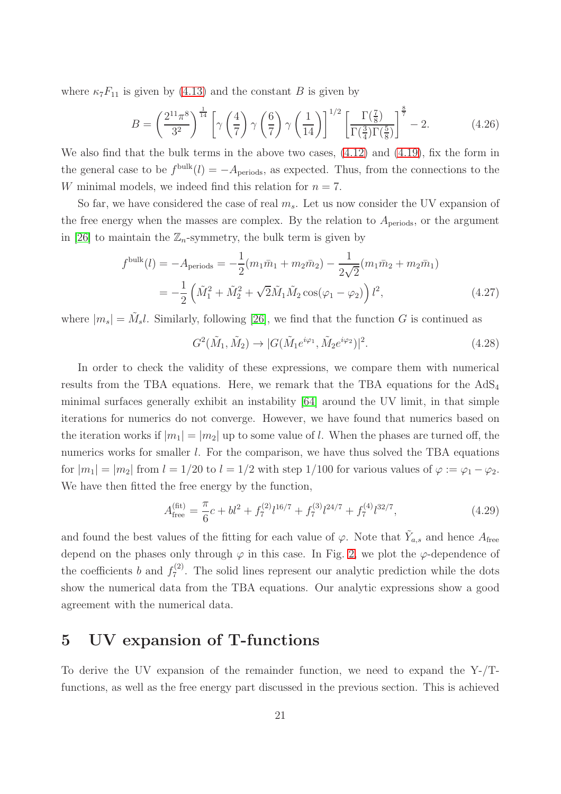where  $\kappa_7 F_{11}$  is given by [\(4.13\)](#page-19-1) and the constant B is given by

$$
B = \left(\frac{2^{11}\pi^8}{3^2}\right)^{\frac{1}{14}} \left[\gamma\left(\frac{4}{7}\right)\gamma\left(\frac{6}{7}\right)\gamma\left(\frac{1}{14}\right)\right]^{1/2} \left[\frac{\Gamma(\frac{7}{8})}{\Gamma(\frac{3}{4})\Gamma(\frac{5}{8})}\right]^{\frac{8}{7}} - 2.
$$
 (4.26)

We also find that the bulk terms in the above two cases, [\(4.12\)](#page-19-2) and [\(4.19\)](#page-20-1), fix the form in the general case to be  $f^{\text{bulk}}(l) = -A_{\text{periods}}$ , as expected. Thus, from the connections to the W minimal models, we indeed find this relation for  $n = 7$ .

So far, we have considered the case of real  $m_s$ . Let us now consider the UV expansion of the free energy when the masses are complex. By the relation to  $A_{\text{periods}}$ , or the argument in [\[26\]](#page-40-3) to maintain the  $\mathbb{Z}_n$ -symmetry, the bulk term is given by

$$
f^{\text{bulk}}(l) = -A_{\text{periods}} = -\frac{1}{2}(m_1\bar{m}_1 + m_2\bar{m}_2) - \frac{1}{2\sqrt{2}}(m_1\bar{m}_2 + m_2\bar{m}_1)
$$
  
= 
$$
-\frac{1}{2}\left(\tilde{M}_1^2 + \tilde{M}_2^2 + \sqrt{2}\tilde{M}_1\tilde{M}_2\cos(\varphi_1 - \varphi_2)\right)l^2,
$$
 (4.27)

where  $|m_s| = \tilde{M}_s l$ . Similarly, following [\[26\]](#page-40-3), we find that the function G is continued as

$$
G^{2}(\tilde{M}_{1}, \tilde{M}_{2}) \to |G(\tilde{M}_{1}e^{i\varphi_{1}}, \tilde{M}_{2}e^{i\varphi_{2}})|^{2}.
$$
\n(4.28)

In order to check the validity of these expressions, we compare them with numerical results from the TBA equations. Here, we remark that the TBA equations for the  $AdS_4$ minimal surfaces generally exhibit an instability [\[64\]](#page-41-23) around the UV limit, in that simple iterations for numerics do not converge. However, we have found that numerics based on the iteration works if  $|m_1| = |m_2|$  up to some value of l. When the phases are turned off, the numerics works for smaller *l*. For the comparison, we have thus solved the TBA equations for  $|m_1| = |m_2|$  from  $l = 1/20$  to  $l = 1/2$  with step 1/100 for various values of  $\varphi := \varphi_1 - \varphi_2$ . We have then fitted the free energy by the function,

$$
A_{\text{free}}^{(\text{fit})} = \frac{\pi}{6}c + bl^2 + f_7^{(2)}l^{16/7} + f_7^{(3)}l^{24/7} + f_7^{(4)}l^{32/7},\tag{4.29}
$$

and found the best values of the fitting for each value of  $\varphi$ . Note that  $\tilde{Y}_{a,s}$  and hence  $A_{\text{free}}$ depend on the phases only through  $\varphi$  in this case. In Fig. [2,](#page-22-0) we plot the  $\varphi$ -dependence of the coefficients b and  $f_7^{(2)}$  $T_7^{(2)}$ . The solid lines represent our analytic prediction while the dots show the numerical data from the TBA equations. Our analytic expressions show a good agreement with the numerical data.

# 5 UV expansion of T-functions

To derive the UV expansion of the remainder function, we need to expand the Y-/Tfunctions, as well as the free energy part discussed in the previous section. This is achieved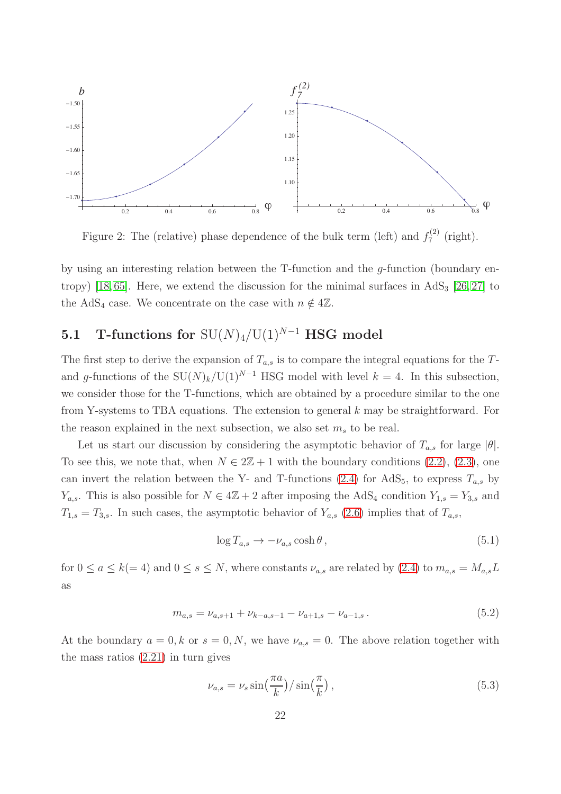

<span id="page-22-0"></span>Figure 2: The (relative) phase dependence of the bulk term (left) and  $f_7^{(2)}$  $x_7^{(2)}$  (right).

by using an interesting relation between the T-function and the g-function (boundary en-tropy) [\[18,](#page-39-14)65]. Here, we extend the discussion for the minimal surfaces in  $AdS_3$  [\[26,](#page-40-3)27] to the AdS<sub>4</sub> case. We concentrate on the case with  $n \notin 4\mathbb{Z}$ .

# 5.1 T-functions for  $SU(N)_4/U(1)^{N-1}$  HSG model

The first step to derive the expansion of  $T_{a,s}$  is to compare the integral equations for the Tand g-functions of the  $SU(N)_k/U(1)^{N-1}$  HSG model with level  $k = 4$ . In this subsection, we consider those for the T-functions, which are obtained by a procedure similar to the one from Y-systems to TBA equations. The extension to general  $k$  may be straightforward. For the reason explained in the next subsection, we also set  $m_s$  to be real.

Let us start our discussion by considering the asymptotic behavior of  $T_{a,s}$  for large  $|\theta|$ . To see this, we note that, when  $N \in 2\mathbb{Z} + 1$  with the boundary conditions [\(2.2\)](#page-3-2), [\(2.3\)](#page-3-0), one can invert the relation between the Y- and T-functions [\(2.4\)](#page-3-3) for AdS<sub>5</sub>, to express  $T_{a,s}$  by  $Y_{a,s}$ . This is also possible for  $N \in 4\mathbb{Z}+2$  after imposing the AdS<sub>4</sub> condition  $Y_{1,s} = Y_{3,s}$  and  $T_{1,s} = T_{3,s}$ . In such cases, the asymptotic behavior of  $Y_{a,s}$  [\(2.6\)](#page-4-0) implies that of  $T_{a,s}$ ,

<span id="page-22-1"></span>
$$
\log T_{a,s} \to -\nu_{a,s} \cosh \theta, \qquad (5.1)
$$

for  $0 \le a \le k(= 4)$  and  $0 \le s \le N$ , where constants  $\nu_{a,s}$  are related by  $(2.4)$  to  $m_{a,s} = M_{a,s}L$ as

$$
m_{a,s} = \nu_{a,s+1} + \nu_{k-a,s-1} - \nu_{a+1,s} - \nu_{a-1,s} \,. \tag{5.2}
$$

At the boundary  $a = 0, k$  or  $s = 0, N$ , we have  $\nu_{a,s} = 0$ . The above relation together with the mass ratios [\(2.21\)](#page-7-1) in turn gives

<span id="page-22-2"></span>
$$
\nu_{a,s} = \nu_s \sin\left(\frac{\pi a}{k}\right) / \sin\left(\frac{\pi}{k}\right),\tag{5.3}
$$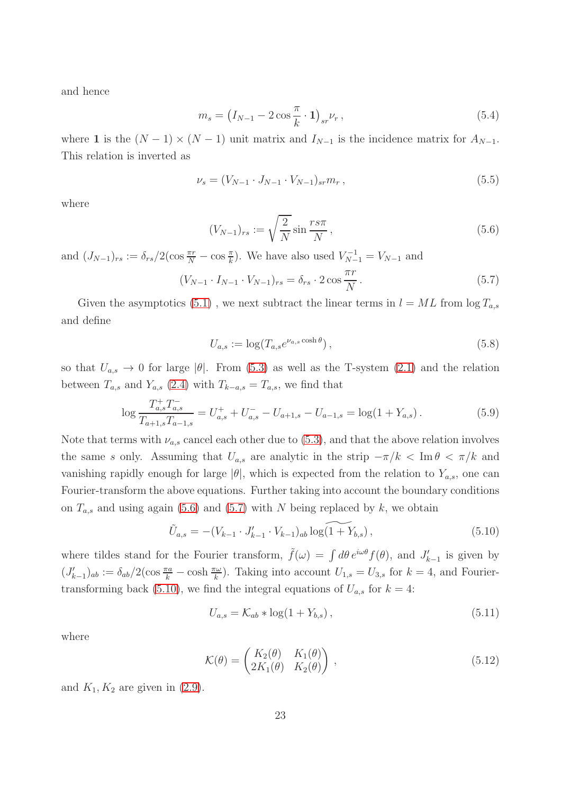and hence

$$
m_s = \left(I_{N-1} - 2\cos\frac{\pi}{k} \cdot 1\right)_{sr} \nu_r, \tag{5.4}
$$

where 1 is the  $(N-1) \times (N-1)$  unit matrix and  $I_{N-1}$  is the incidence matrix for  $A_{N-1}$ . This relation is inverted as

$$
\nu_s = (V_{N-1} \cdot J_{N-1} \cdot V_{N-1})_{sr} m_r , \qquad (5.5)
$$

where

<span id="page-23-0"></span>
$$
(V_{N-1})_{rs} := \sqrt{\frac{2}{N}} \sin \frac{rs\pi}{N},\qquad(5.6)
$$

and  $(J_{N-1})_{rs} := \delta_{rs}/2(\cos \frac{\pi r}{N} - \cos \frac{\pi}{k})$ . We have also used  $V_{N-1}^{-1} = V_{N-1}$  and

<span id="page-23-1"></span>
$$
(V_{N-1} \cdot I_{N-1} \cdot V_{N-1})_{rs} = \delta_{rs} \cdot 2 \cos \frac{\pi r}{N}.
$$
 (5.7)

Given the asymptotics [\(5.1\)](#page-22-1), we next subtract the linear terms in  $l = ML$  from  $\log T_{a,s}$ and define

$$
U_{a,s} := \log(T_{a,s}e^{\nu_{a,s}\cosh\theta}),
$$
\n(5.8)

so that  $U_{a,s} \to 0$  for large  $|\theta|$ . From [\(5.3\)](#page-22-2) as well as the T-system [\(2.1\)](#page-3-4) and the relation between  $T_{a,s}$  and  $Y_{a,s}$  [\(2.4\)](#page-3-3) with  $T_{k-a,s} = T_{a,s}$ , we find that

$$
\log \frac{T_{a,s}^+ T_{a,s}^-}{T_{a+1,s} T_{a-1,s}} = U_{a,s}^+ + U_{a,s}^- - U_{a+1,s} - U_{a-1,s} = \log(1 + Y_{a,s}) \,. \tag{5.9}
$$

Note that terms with  $\nu_{a,s}$  cancel each other due to [\(5.3\)](#page-22-2), and that the above relation involves the same s only. Assuming that  $U_{a,s}$  are analytic in the strip  $-\pi/k < \text{Im } \theta < \pi/k$  and vanishing rapidly enough for large  $|\theta|$ , which is expected from the relation to  $Y_{a,s}$ , one can Fourier-transform the above equations. Further taking into account the boundary conditions on  $T_{a,s}$  and using again [\(5.6\)](#page-23-0) and [\(5.7\)](#page-23-1) with N being replaced by k, we obtain

<span id="page-23-2"></span>
$$
\tilde{U}_{a,s} = -(V_{k-1} \cdot J'_{k-1} \cdot V_{k-1})_{ab} \log(1 + Y_{b,s}),
$$
\n(5.10)

where tildes stand for the Fourier transform,  $\tilde{f}(\omega) = \int d\theta \, e^{i\omega\theta} f(\theta)$ , and  $J'_{k-1}$  is given by  $(J'_{k-1})_{ab} := \delta_{ab}/2(\cos\frac{\pi a}{k} - \cosh\frac{\pi \omega}{k})$ . Taking into account  $U_{1,s} = U_{3,s}$  for  $k=4$ , and Fourier-transforming back [\(5.10\)](#page-23-2), we find the integral equations of  $U_{a,s}$  for  $k = 4$ :

<span id="page-23-3"></span>
$$
U_{a,s} = \mathcal{K}_{ab} * \log(1 + Y_{b,s}), \qquad (5.11)
$$

where

$$
\mathcal{K}(\theta) = \begin{pmatrix} K_2(\theta) & K_1(\theta) \\ 2K_1(\theta) & K_2(\theta) \end{pmatrix},
$$
\n(5.12)

and  $K_1, K_2$  are given in  $(2.9)$ .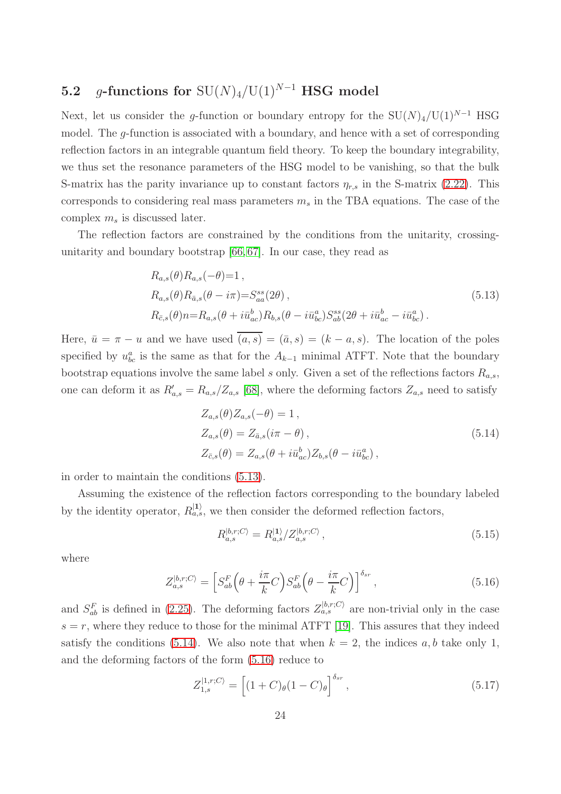# 5.2 g-functions for  $SU(N)_4/U(1)^{N-1}$  HSG model

Next, let us consider the g-function or boundary entropy for the  $SU(N)_4/U(1)^{N-1}$  HSG model. The g-function is associated with a boundary, and hence with a set of corresponding reflection factors in an integrable quantum field theory. To keep the boundary integrability, we thus set the resonance parameters of the HSG model to be vanishing, so that the bulk S-matrix has the parity invariance up to constant factors  $\eta_{r,s}$  in the S-matrix [\(2.22\)](#page-7-2). This corresponds to considering real mass parameters  $m_s$  in the TBA equations. The case of the complex  $m_s$  is discussed later.

The reflection factors are constrained by the conditions from the unitarity, crossingunitarity and boundary bootstrap [\[66,](#page-42-0) [67\]](#page-42-1). In our case, they read as

<span id="page-24-0"></span>
$$
R_{a,s}(\theta) R_{a,s}(-\theta) = 1 ,
$$
  
\n
$$
R_{a,s}(\theta) R_{\bar{a},s}(\theta - i\pi) = S_{aa}^{ss}(2\theta) ,
$$
  
\n
$$
R_{\bar{c},s}(\theta) n = R_{a,s}(\theta + i\bar{u}_{ac}^b) R_{b,s}(\theta - i\bar{u}_{bc}^a) S_{ab}^{ss}(2\theta + i\bar{u}_{ac}^b - i\bar{u}_{bc}^a) .
$$
\n(5.13)

Here,  $\bar{u} = \pi - u$  and we have used  $\bar{a}, s$  =  $(\bar{a}, s)$  =  $(k - a, s)$ . The location of the poles specified by  $u_{bc}^a$  is the same as that for the  $A_{k-1}$  minimal ATFT. Note that the boundary bootstrap equations involve the same label s only. Given a set of the reflections factors  $R_{a,s}$ , one can deform it as  $R'_{a,s} = R_{a,s}/Z_{a,s}$  [\[68\]](#page-42-2), where the deforming factors  $Z_{a,s}$  need to satisfy

<span id="page-24-1"></span>
$$
Z_{a,s}(\theta) Z_{a,s}(-\theta) = 1,
$$
  
\n
$$
Z_{a,s}(\theta) = Z_{\bar{a},s}(i\pi - \theta),
$$
  
\n
$$
Z_{\bar{c},s}(\theta) = Z_{a,s}(\theta + i\bar{u}_{ac}^b) Z_{b,s}(\theta - i\bar{u}_{bc}^a),
$$
\n(5.14)

in order to maintain the conditions [\(5.13\)](#page-24-0).

Assuming the existence of the reflection factors corresponding to the boundary labeled by the identity operator,  $R_{a,s}^{(1)}$ , we then consider the deformed reflection factors,

$$
R_{a,s}^{|b,r;C\rangle} = R_{a,s}^{|1\rangle}/Z_{a,s}^{|b,r;C\rangle},\tag{5.15}
$$

where

<span id="page-24-2"></span>
$$
Z_{a,s}^{|b,r;C\rangle} = \left[ S_{ab}^F \left( \theta + \frac{i\pi}{k} C \right) S_{ab}^F \left( \theta - \frac{i\pi}{k} C \right) \right]^{\delta_{sr}},\tag{5.16}
$$

and  $S_{ab}^F$  is defined in [\(2.25\)](#page-7-3). The deforming factors  $Z_{a,s}^{|b,r;C\rangle}$  are non-trivial only in the case  $s = r$ , where they reduce to those for the minimal ATFT [\[19\]](#page-39-15). This assures that they indeed satisfy the conditions [\(5.14\)](#page-24-1). We also note that when  $k = 2$ , the indices a, b take only 1, and the deforming factors of the form [\(5.16\)](#page-24-2) reduce to

$$
Z_{1,s}^{|1,r;C\rangle} = \left[ (1+C)_{\theta} (1-C)_{\theta} \right]^{\delta_{sr}},\tag{5.17}
$$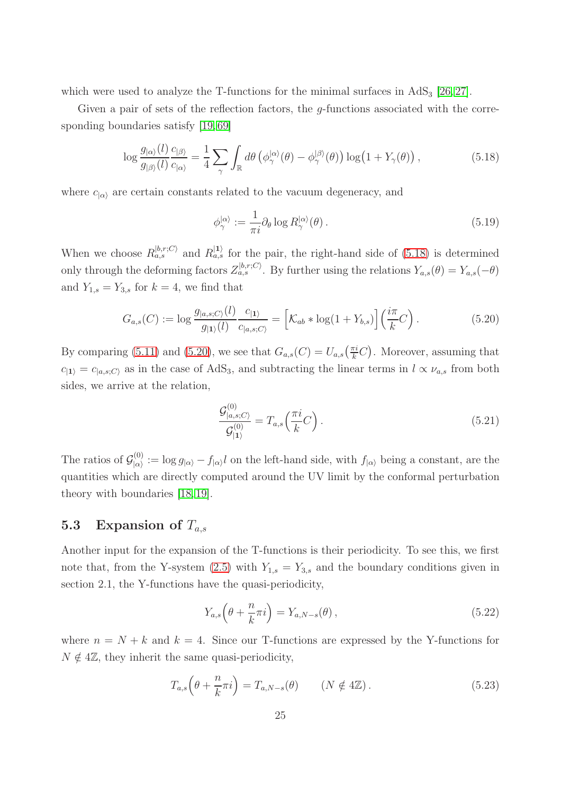which were used to analyze the T-functions for the minimal surfaces in  $AdS_3$  [\[26,](#page-40-3) [27\]](#page-40-4).

Given a pair of sets of the reflection factors, the *q*-functions associated with the corre-sponding boundaries satisfy [\[19,](#page-39-15) [69\]](#page-42-3)

<span id="page-25-0"></span>
$$
\log \frac{g_{|\alpha\rangle}(l)}{g_{|\beta\rangle}(l)} \frac{c_{|\beta\rangle}}{c_{|\alpha\rangle}} = \frac{1}{4} \sum_{\gamma} \int_{\mathbb{R}} d\theta \left( \phi_{\gamma}^{|\alpha\rangle}(\theta) - \phi_{\gamma}^{|\beta\rangle}(\theta) \right) \log \left( 1 + Y_{\gamma}(\theta) \right), \tag{5.18}
$$

where  $c_{|\alpha\rangle}$  are certain constants related to the vacuum degeneracy, and

$$
\phi_{\gamma}^{|\alpha\rangle} := \frac{1}{\pi i} \partial_{\theta} \log R_{\gamma}^{|\alpha\rangle}(\theta) \,. \tag{5.19}
$$

When we choose  $R_{a,s}^{|b,r;C\rangle}$  and  $R_{a,s}^{|1\rangle}$  for the pair, the right-hand side of [\(5.18\)](#page-25-0) is determined only through the deforming factors  $Z_{a,s}^{[b,r;C)}$ . By further using the relations  $Y_{a,s}(\theta) = Y_{a,s}(-\theta)$ and  $Y_{1,s} = Y_{3,s}$  for  $k = 4$ , we find that

<span id="page-25-1"></span>
$$
G_{a,s}(C) := \log \frac{g_{|a,s;C\rangle}(l)}{g_{|1\rangle}(l)} \frac{c_{|1\rangle}}{c_{|a,s;C\rangle}} = \left[ \mathcal{K}_{ab} * \log(1 + Y_{b,s}) \right] \left( \frac{i\pi}{k} C \right). \tag{5.20}
$$

By comparing [\(5.11\)](#page-23-3) and [\(5.20\)](#page-25-1), we see that  $G_{a,s}(C) = U_{a,s}(\frac{\pi i}{k}C)$ . Moreover, assuming that  $c_{11} = c_{a,s;C}$  as in the case of AdS<sub>3</sub>, and subtracting the linear terms in  $l \propto \nu_{a,s}$  from both sides, we arrive at the relation,

<span id="page-25-2"></span>
$$
\frac{\mathcal{G}_{|a,s;C\rangle}^{(0)}}{\mathcal{G}_{|1\rangle}^{(0)}} = T_{a,s} \left(\frac{\pi i}{k} C\right). \tag{5.21}
$$

The ratios of  $\mathcal{G}_{|\alpha\rangle}^{(0)}$  $\int_{|\alpha\rangle}^{(0)} := \log g_{|\alpha\rangle} - f_{|\alpha\rangle} l$  on the left-hand side, with  $f_{|\alpha\rangle}$  being a constant, are the quantities which are directly computed around the UV limit by the conformal perturbation theory with boundaries [\[18,](#page-39-14) [19\]](#page-39-15).

## 5.3 Expansion of  $T_{a,s}$

Another input for the expansion of the T-functions is their periodicity. To see this, we first note that, from the Y-system [\(2.5\)](#page-4-2) with  $Y_{1,s} = Y_{3,s}$  and the boundary conditions given in section 2.1, the Y-functions have the quasi-periodicity,

$$
Y_{a,s}\left(\theta + \frac{n}{k}\pi i\right) = Y_{a,N-s}(\theta),\qquad(5.22)
$$

where  $n = N + k$  and  $k = 4$ . Since our T-functions are expressed by the Y-functions for  $N \notin 4\mathbb{Z}$ , they inherit the same quasi-periodicity,

<span id="page-25-3"></span>
$$
T_{a,s}\left(\theta + \frac{n}{k}\pi i\right) = T_{a,N-s}(\theta) \qquad (N \notin 4\mathbb{Z}).\tag{5.23}
$$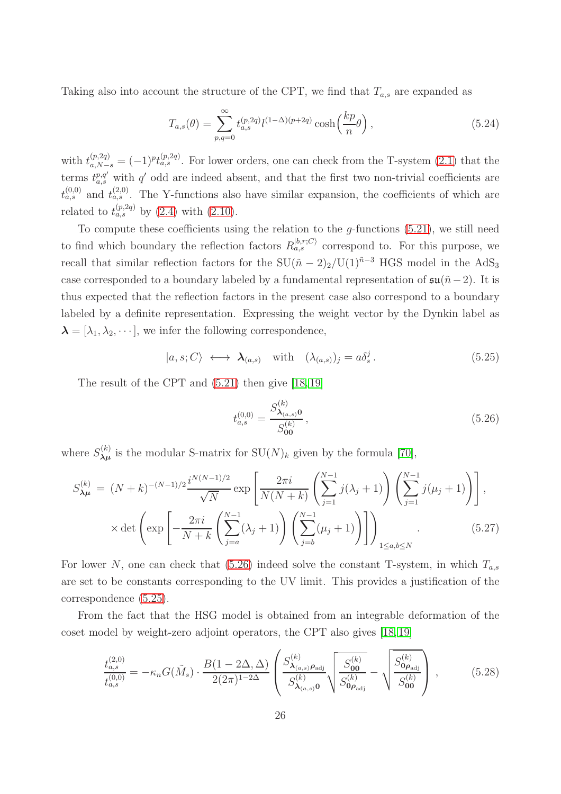Taking also into account the structure of the CPT, we find that  $T_{a,s}$  are expanded as

<span id="page-26-3"></span>
$$
T_{a,s}(\theta) = \sum_{p,q=0}^{\infty} t_{a,s}^{(p,2q)} l^{(1-\Delta)(p+2q)} \cosh\left(\frac{kp}{n}\theta\right),\tag{5.24}
$$

with  $t_{a,N-s}^{(p,2q)} = (-1)^p t_{a,s}^{(p,2q)}$ . For lower orders, one can check from the T-system [\(2.1\)](#page-3-4) that the terms  $t_{a,s}^{p,q'}$  with q' odd are indeed absent, and that the first two non-trivial coefficients are  $t_{a,s}^{(0,0)}$  and  $t_{a,s}^{(2,0)}$ . The Y-functions also have similar expansion, the coefficients of which are related to  $t_{a,s}^{(p,2q)}$  by [\(2.4\)](#page-3-3) with [\(2.10\)](#page-5-2).

To compute these coefficients using the relation to the  $g$ -functions  $(5.21)$ , we still need to find which boundary the reflection factors  $R_{a,s}^{|b,r;C\rangle}$  correspond to. For this purpose, we recall that similar reflection factors for the  $SU(\tilde{n} - 2)_2/U(1)^{\tilde{n}-3}$  HGS model in the AdS<sub>3</sub> case corresponded to a boundary labeled by a fundamental representation of  $\mathfrak{su}(\tilde{n}-2)$ . It is thus expected that the reflection factors in the present case also correspond to a boundary labeled by a definite representation. Expressing the weight vector by the Dynkin label as  $\lambda = [\lambda_1, \lambda_2, \cdots],$  we infer the following correspondence,

<span id="page-26-1"></span>
$$
|a, s; C\rangle \longleftrightarrow \mathbf{\lambda}_{(a,s)} \quad \text{with} \quad (\lambda_{(a,s)})_j = a\delta_s^j. \tag{5.25}
$$

The result of the CPT and [\(5.21\)](#page-25-2) then give [\[18,](#page-39-14) [19\]](#page-39-15)

<span id="page-26-0"></span>
$$
t_{a,s}^{(0,0)} = \frac{S_{\lambda_{(a,s)}}^{(k)} 0}{S_{00}^{(k)}},\tag{5.26}
$$

where  $S_{\lambda\mu}^{(k)}$  is the modular S-matrix for  $\mathrm{SU}(N)_k$  given by the formula [\[70\]](#page-42-4),

<span id="page-26-2"></span>
$$
S_{\lambda\mu}^{(k)} = (N+k)^{-(N-1)/2} \frac{i^{N(N-1)/2}}{\sqrt{N}} \exp\left[\frac{2\pi i}{N(N+k)} \left(\sum_{j=1}^{N-1} j(\lambda_j + 1)\right) \left(\sum_{j=1}^{N-1} j(\mu_j + 1)\right)\right],
$$
  
 
$$
\times \det\left(\exp\left[-\frac{2\pi i}{N+k} \left(\sum_{j=a}^{N-1} (\lambda_j + 1)\right) \left(\sum_{j=b}^{N-1} (\mu_j + 1)\right)\right]\right)_{1 \le a, b \le N}.
$$
 (5.27)

For lower N, one can check that [\(5.26\)](#page-26-0) indeed solve the constant T-system, in which  $T_{a,s}$ are set to be constants corresponding to the UV limit. This provides a justification of the correspondence [\(5.25\)](#page-26-1).

From the fact that the HSG model is obtained from an integrable deformation of the coset model by weight-zero adjoint operators, the CPT also gives [\[18,](#page-39-14) [19\]](#page-39-15)

$$
\frac{t_{a,s}^{(2,0)}}{t_{a,s}^{(0,0)}} = -\kappa_n G(\tilde{M}_s) \cdot \frac{B(1 - 2\Delta, \Delta)}{2(2\pi)^{1-2\Delta}} \left( \frac{S_{\lambda_{(a,s)}\rho_{\text{adj}}}}{S_{\lambda_{(a,s)}0}^{(k)}} \sqrt{\frac{S_{\mathbf{00}}^{(k)}}{S_{\mathbf{0}\rho_{\text{adj}}}}^{(k)}} - \sqrt{\frac{S_{\mathbf{0}\rho_{\text{adj}}}}^{(k)}}{S_{\mathbf{00}}^{(k)}} \right),\tag{5.28}
$$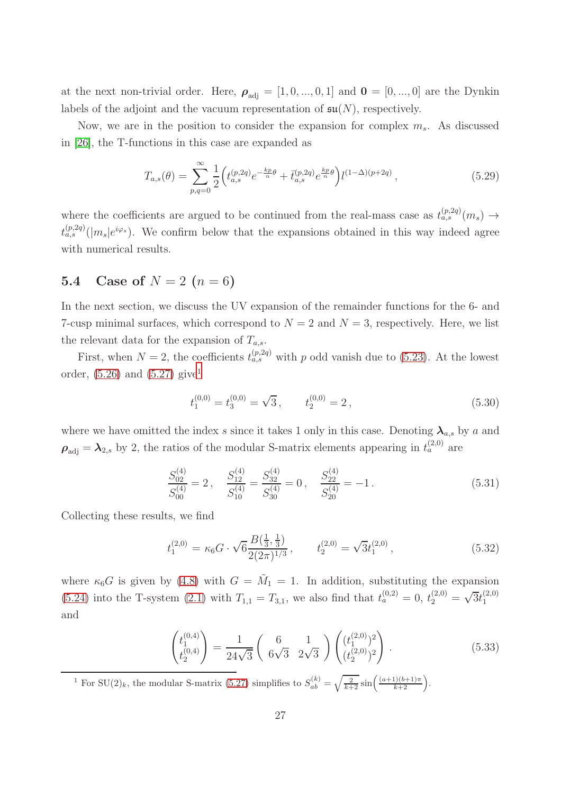at the next non-trivial order. Here,  $\rho_{\text{adj}} = [1, 0, ..., 0, 1]$  and  $\mathbf{0} = [0, ..., 0]$  are the Dynkin labels of the adjoint and the vacuum representation of  $\mathfrak{su}(N)$ , respectively.

Now, we are in the position to consider the expansion for complex  $m_s$ . As discussed in [\[26\]](#page-40-3), the T-functions in this case are expanded as

$$
T_{a,s}(\theta) = \sum_{p,q=0}^{\infty} \frac{1}{2} \left( t_{a,s}^{(p,2q)} e^{-\frac{kp}{n}\theta} + \bar{t}_{a,s}^{(p,2q)} e^{\frac{kp}{n}\theta} \right) l^{(1-\Delta)(p+2q)}, \tag{5.29}
$$

where the coefficients are argued to be continued from the real-mass case as  $t_{a,s}^{(p,2q)}(m_s) \rightarrow$  $t_{a,s}^{(p,2q)}(|m_s|e^{i\varphi_s})$ . We confirm below that the expansions obtained in this way indeed agree with numerical results.

## 5.4 Case of  $N = 2$   $(n = 6)$

In the next section, we discuss the UV expansion of the remainder functions for the 6- and 7-cusp minimal surfaces, which correspond to  $N = 2$  and  $N = 3$ , respectively. Here, we list the relevant data for the expansion of  $T_{a,s}$ .

First, when  $N = 2$ , the coefficients  $t_{a,s}^{(p,2q)}$  with p odd vanish due to [\(5.23\)](#page-25-3). At the lowest order,  $(5.26)$  and  $(5.27)$  give<sup>[1](#page-27-0)</sup>

$$
t_1^{(0,0)} = t_3^{(0,0)} = \sqrt{3}, \qquad t_2^{(0,0)} = 2, \tag{5.30}
$$

where we have omitted the index s since it takes 1 only in this case. Denoting  $\lambda_{a,s}$  by a and  $\rho_{\text{adj}} = \lambda_{2,s}$  by 2, the ratios of the modular S-matrix elements appearing in  $t_a^{(2,0)}$  are

$$
\frac{S_{02}^{(4)}}{S_{00}^{(4)}} = 2\,, \quad \frac{S_{12}^{(4)}}{S_{10}^{(4)}} = \frac{S_{32}^{(4)}}{S_{30}^{(4)}} = 0\,, \quad \frac{S_{22}^{(4)}}{S_{20}^{(4)}} = -1\,. \tag{5.31}
$$

Collecting these results, we find

<span id="page-27-1"></span>
$$
t_1^{(2,0)} = \kappa_6 G \cdot \sqrt{6} \frac{B(\frac{1}{3}, \frac{1}{3})}{2(2\pi)^{1/3}}, \qquad t_2^{(2,0)} = \sqrt{3} t_1^{(2,0)}, \tag{5.32}
$$

where  $\kappa_6 G$  is given by [\(4.8\)](#page-18-1) with  $G = \tilde{M}_1 = 1$ . In addition, substituting the expansion [\(5.24\)](#page-26-3) into the T-system [\(2.1\)](#page-3-4) with  $T_{1,1} = T_{3,1}$ , we also find that  $t_a^{(0,2)} = 0$ ,  $t_2^{(2,0)} = \sqrt{3}t_1^{(2,0)}$ 1 and

<span id="page-27-2"></span>
$$
\begin{pmatrix} t_1^{(0,4)} \\ t_2^{(0,4)} \end{pmatrix} = \frac{1}{24\sqrt{3}} \begin{pmatrix} 6 & 1 \\ 6\sqrt{3} & 2\sqrt{3} \end{pmatrix} \begin{pmatrix} (t_1^{(2,0)})^2 \\ (t_2^{(2,0)})^2 \end{pmatrix} . \tag{5.33}
$$

<span id="page-27-0"></span><sup>1</sup> For SU(2)<sub>k</sub>, the modular S-matrix [\(5.27\)](#page-26-2) simplifies to  $S_{ab}^{(k)} = \sqrt{\frac{2}{k+2}} \sin\left(\frac{(a+1)(b+1)\pi}{k+2}\right)$ .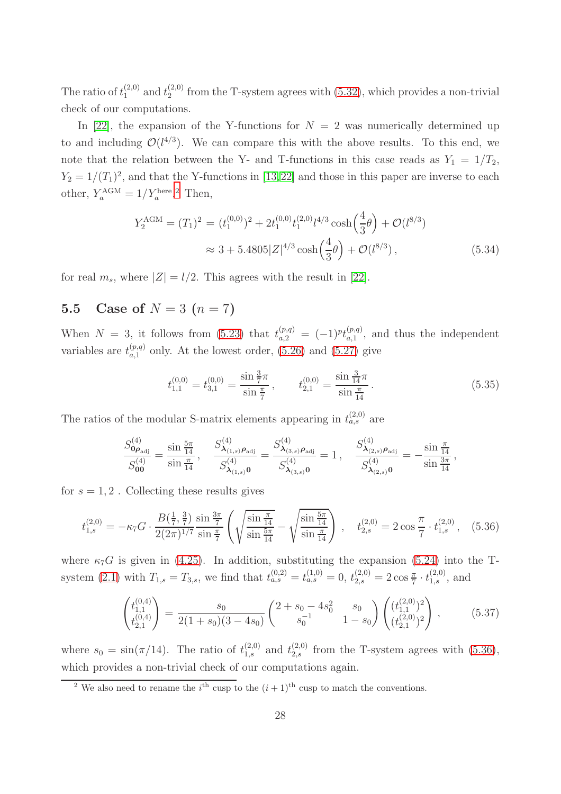The ratio of  $t_1^{(2,0)}$  and  $t_2^{(2,0)}$  $2^{(2,0)}$  from the T-system agrees with  $(5.32)$ , which provides a non-trivial check of our computations.

In [\[22\]](#page-40-16), the expansion of the Y-functions for  $N = 2$  was numerically determined up to and including  $\mathcal{O}(l^{4/3})$ . We can compare this with the above results. To this end, we note that the relation between the Y- and T-functions in this case reads as  $Y_1 = 1/T_2$ ,  $Y_2 = 1/(T_1)^2$ , and that the Y-functions in [\[13,](#page-39-10)[22\]](#page-40-16) and those in this paper are inverse to each other,  $Y_a^{\text{AGM}} = 1/Y_a^{\text{here}2}$  $Y_a^{\text{AGM}} = 1/Y_a^{\text{here}2}$  $Y_a^{\text{AGM}} = 1/Y_a^{\text{here}2}$  Then,

$$
Y_2^{\text{AGM}} = (T_1)^2 = (t_1^{(0,0)})^2 + 2t_1^{(0,0)}t_1^{(2,0)}t_1^{4/3}\cosh\left(\frac{4}{3}\theta\right) + \mathcal{O}(l^{8/3})
$$
  

$$
\approx 3 + 5.4805|Z|^{4/3}\cosh\left(\frac{4}{3}\theta\right) + \mathcal{O}(l^{8/3}), \tag{5.34}
$$

for real  $m_s$ , where  $|Z| = l/2$ . This agrees with the result in [\[22\]](#page-40-16).

# 5.5 Case of  $N = 3$   $(n = 7)$

When  $N = 3$ , it follows from [\(5.23\)](#page-25-3) that  $t_{a,2}^{(p,q)} = (-1)^{p} t_{a,1}^{(p,q)}$  $_{a,1}^{(p,q)}$ , and thus the independent variables are  $t_{a,1}^{(p,q)}$  only. At the lowest order, [\(5.26\)](#page-26-0) and [\(5.27\)](#page-26-2) give

$$
t_{1,1}^{(0,0)} = t_{3,1}^{(0,0)} = \frac{\sin\frac{3}{7}\pi}{\sin\frac{\pi}{7}}, \qquad t_{2,1}^{(0,0)} = \frac{\sin\frac{3}{14}\pi}{\sin\frac{\pi}{14}}.\tag{5.35}
$$

The ratios of the modular S-matrix elements appearing in  $t_{a,s}^{(2,0)}$  are

$$
\frac{S_{\mathbf{0}\rho_{\mathrm{adj}}}^{(4)}}{S_{\mathbf{0}\mathbf{0}}^{(4)}}=\frac{\sin\frac{5\pi}{14}}{\sin\frac{\pi}{14}},\quad\frac{S_{\mathbf{\lambda}_{(1,s)}\rho_{\mathrm{adj}}}}{S_{\mathbf{\lambda}_{(1,s)}\mathbf{0}}^{(4)}}=\frac{S_{\mathbf{\lambda}_{(3,s)}\rho_{\mathrm{adj}}}}{S_{\mathbf{\lambda}_{(3,s)}\mathbf{0}}^{(4)}}=1\,,\quad\frac{S_{\mathbf{\lambda}_{(2,s)}\rho_{\mathrm{adj}}}}{S_{\mathbf{\lambda}_{(2,s)}\mathbf{0}}^{(4)}}=-\frac{\sin\frac{\pi}{14}}{\sin\frac{3\pi}{14}}\,,
$$

for  $s = 1, 2$ . Collecting these results gives

<span id="page-28-1"></span>
$$
t_{1,s}^{(2,0)} = -\kappa_7 G \cdot \frac{B(\frac{1}{7},\frac{3}{7})}{2(2\pi)^{1/7}} \frac{\sin\frac{3\pi}{7}}{\sin\frac{\pi}{7}} \left( \sqrt{\frac{\sin\frac{\pi}{14}}{\sin\frac{5\pi}{14}}} - \sqrt{\frac{\sin\frac{5\pi}{14}}{\sin\frac{\pi}{14}}} \right) , \quad t_{2,s}^{(2,0)} = 2\cos\frac{\pi}{7} \cdot t_{1,s}^{(2,0)}, \quad (5.36)
$$

where  $\kappa_7G$  is given in [\(4.25\)](#page-20-2). In addition, substituting the expansion [\(5.24\)](#page-26-3) into the T-system [\(2.1\)](#page-3-4) with  $T_{1,s} = T_{3,s}$ , we find that  $t_{a,s}^{(0,2)} = t_{a,s}^{(1,0)} = 0$ ,  $t_{2,s}^{(2,0)} = 2 \cos \frac{\pi}{7} \cdot t_{1,s}^{(2,0)}$ , and

<span id="page-28-2"></span>
$$
\begin{pmatrix} t_{1,1}^{(0,4)} \\ t_{2,1}^{(0,4)} \end{pmatrix} = \frac{s_0}{2(1+s_0)(3-4s_0)} \begin{pmatrix} 2+s_0-4s_0^2 & s_0 \\ s_0^{-1} & 1-s_0 \end{pmatrix} \begin{pmatrix} (t_{1,1}^{(2,0)})^2 \\ (t_{2,1}^{(2,0)})^2 \end{pmatrix}, \tag{5.37}
$$

where  $s_0 = \sin(\pi/14)$ . The ratio of  $t_{1,s}^{(2,0)}$  and  $t_{2,s}^{(2,0)}$  from the T-system agrees with [\(5.36\)](#page-28-1), which provides a non-trivial check of our computations again.

<span id="page-28-0"></span><sup>2</sup> We also need to rename the *i*<sup>th</sup> cusp to the  $(i + 1)$ <sup>th</sup> cusp to match the conventions.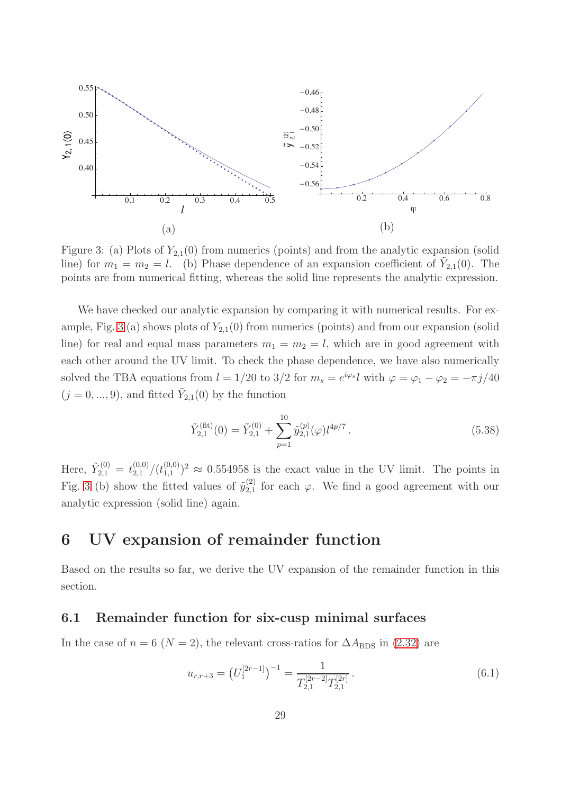

<span id="page-29-0"></span>Figure 3: (a) Plots of  $Y_{2,1}(0)$  from numerics (points) and from the analytic expansion (solid line) for  $m_1 = m_2 = l$ . (b) Phase dependence of an expansion coefficient of  $\tilde{Y}_{2,1}(0)$ . The points are from numerical fitting, whereas the solid line represents the analytic expression.

We have checked our analytic expansion by comparing it with numerical results. For ex-ample, Fig. [3](#page-29-0) (a) shows plots of  $Y_{2,1}(0)$  from numerics (points) and from our expansion (solid line) for real and equal mass parameters  $m_1 = m_2 = l$ , which are in good agreement with each other around the UV limit. To check the phase dependence, we have also numerically solved the TBA equations from  $l = 1/20$  to  $3/2$  for  $m_s = e^{i\varphi_s} l$  with  $\varphi = \varphi_1 - \varphi_2 = -\pi j/40$  $(j = 0, ..., 9)$ , and fitted  $\tilde{Y}_{2,1}(0)$  by the function

$$
\tilde{Y}_{2,1}^{(\text{fit})}(0) = \tilde{Y}_{2,1}^{(0)} + \sum_{p=1}^{10} \tilde{y}_{2,1}^{(p)}(\varphi) l^{4p/7}.
$$
\n(5.38)

Here,  $\tilde{Y}_{2,1}^{(0)} = t_{2,1}^{(0,0)}/(t_{1,1}^{(0,0)})$  $(0,0)$ <sup>(0,0)</sup>)<sup>2</sup>  $\approx$  0.554958 is the exact value in the UV limit. The points in Fig. [3](#page-29-0) (b) show the fitted values of  $\tilde{y}_{2,1}^{(2)}$  $_{2,1}^{(2)}$  for each  $\varphi$ . We find a good agreement with our analytic expression (solid line) again.

# 6 UV expansion of remainder function

Based on the results so far, we derive the UV expansion of the remainder function in this section.

## 6.1 Remainder function for six-cusp minimal surfaces

In the case of  $n = 6$  ( $N = 2$ ), the relevant cross-ratios for  $\Delta A_{\rm BDS}$  in [\(2.32\)](#page-9-1) are

<span id="page-29-1"></span>
$$
u_{r,r+3} = \left(U_1^{[2r-1]}\right)^{-1} = \frac{1}{T_{2,1}^{[2r-2]}T_{2,1}^{[2r]}}.
$$
\n(6.1)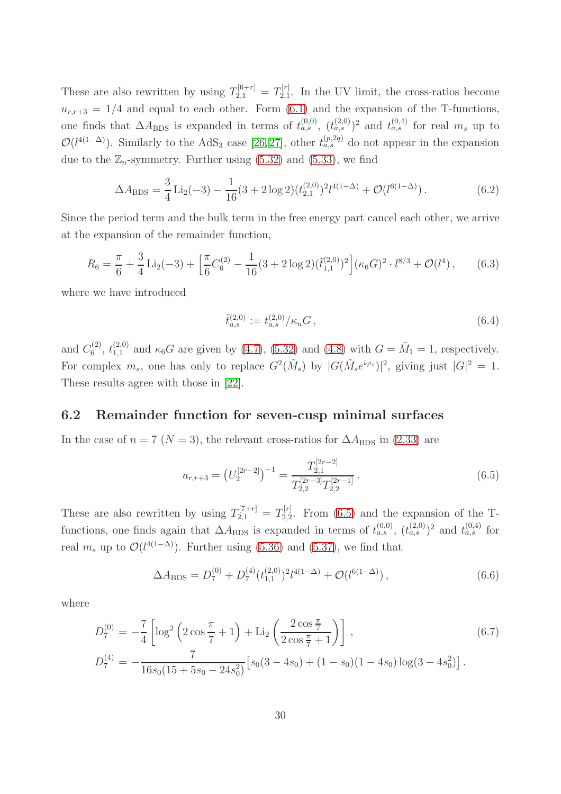These are also rewritten by using  $T_{2,1}^{[6+r]} = T_{2,1}^{[r]}$  $_{2,1}^{[1]}$ . In the UV limit, the cross-ratios become  $u_{r,r+3} = 1/4$  and equal to each other. Form [\(6.1\)](#page-29-1) and the expansion of the T-functions, one finds that  $\Delta A_{\rm BDS}$  is expanded in terms of  $t_{a,s}^{(0,0)}$ ,  $(t_{a,s}^{(2,0)})^2$  and  $t_{a,s}^{(0,4)}$  for real  $m_s$  up to  $\mathcal{O}(l^{4(1-\Delta)})$ . Similarly to the AdS<sub>3</sub> case [\[26,](#page-40-3) [27\]](#page-40-4), other  $t_{a,s}^{(p,2q)}$  do not appear in the expansion due to the  $\mathbb{Z}_n$ -symmetry. Further using [\(5.32\)](#page-27-1) and [\(5.33\)](#page-27-2), we find

$$
\Delta A_{\rm BDS} = \frac{3}{4} \operatorname{Li}_2(-3) - \frac{1}{16} (3 + 2 \log 2) (t_{2,1}^{(2,0)})^2 l^{4(1-\Delta)} + \mathcal{O}(l^{6(1-\Delta)}).
$$
 (6.2)

Since the period term and the bulk term in the free energy part cancel each other, we arrive at the expansion of the remainder function,

<span id="page-30-1"></span>
$$
R_6 = \frac{\pi}{6} + \frac{3}{4} \operatorname{Li}_2(-3) + \left[ \frac{\pi}{6} C_6^{(2)} - \frac{1}{16} (3 + 2 \log 2) (\tilde{t}_{1,1}^{(2,0)})^2 \right] (\kappa_6 G)^2 \cdot l^{8/3} + \mathcal{O}(l^4) \,, \tag{6.3}
$$

where we have introduced

$$
\tilde{t}_{a,s}^{(2,0)} := t_{a,s}^{(2,0)}/\kappa_n G ,\qquad(6.4)
$$

and  $C_6^{(2)}$  $\zeta_6^{(2)}$ ,  $t_{1,1}^{(2,0)}$  and  $\kappa_6G$  are given by [\(4.7\)](#page-18-0), [\(5.32\)](#page-27-1) and [\(4.8\)](#page-18-1) with  $G = \tilde{M}_1 = 1$ , respectively. For complex  $m_s$ , one has only to replace  $G^2(\tilde{M}_s)$  by  $|G(\tilde{M}_s e^{i\varphi_s})|^2$ , giving just  $|G|^2 = 1$ . These results agree with those in [\[22\]](#page-40-16).

## 6.2 Remainder function for seven-cusp minimal surfaces

In the case of  $n = 7$  ( $N = 3$ ), the relevant cross-ratios for  $\Delta A_{\rm BDS}$  in [\(2.33\)](#page-9-2) are

<span id="page-30-0"></span>
$$
u_{r,r+3} = \left(U_2^{[2r-2]}\right)^{-1} = \frac{T_{2,1}^{[2r-2]}}{T_{2,2}^{[2r-3]}T_{2,2}^{[2r-1]}}.
$$
\n(6.5)

These are also rewritten by using  $T_{2,1}^{[7+r]} = T_{2,2}^{[r]}$  $2.2^{\left[\frac{n!}{2}\right]}$ . From [\(6.5\)](#page-30-0) and the expansion of the Tfunctions, one finds again that  $\Delta A_{\rm BDS}$  is expanded in terms of  $t_{a,s}^{(0,0)}$ ,  $(t_{a,s}^{(2,0)})^2$  and  $t_{a,s}^{(0,4)}$  for real  $m_s$  up to  $\mathcal{O}(l^{4(1-\Delta)})$ . Further using [\(5.36\)](#page-28-1) and [\(5.37\)](#page-28-2), we find that

$$
\Delta A_{\rm BDS} = D_7^{(0)} + D_7^{(4)} (t_{1,1}^{(2,0)})^2 l^{4(1-\Delta)} + \mathcal{O}(l^{6(1-\Delta)}), \qquad (6.6)
$$

where

$$
D_7^{(0)} = -\frac{7}{4} \left[ \log^2 \left( 2 \cos \frac{\pi}{7} + 1 \right) + \text{Li}_2 \left( \frac{2 \cos \frac{\pi}{7}}{2 \cos \frac{\pi}{7} + 1} \right) \right],\tag{6.7}
$$
  
\n
$$
D_7^{(4)} = -\frac{7}{16s_0(15 + 5s_0 - 24s_0^2)} \left[ s_0(3 - 4s_0) + (1 - s_0)(1 - 4s_0) \log(3 - 4s_0^2) \right].
$$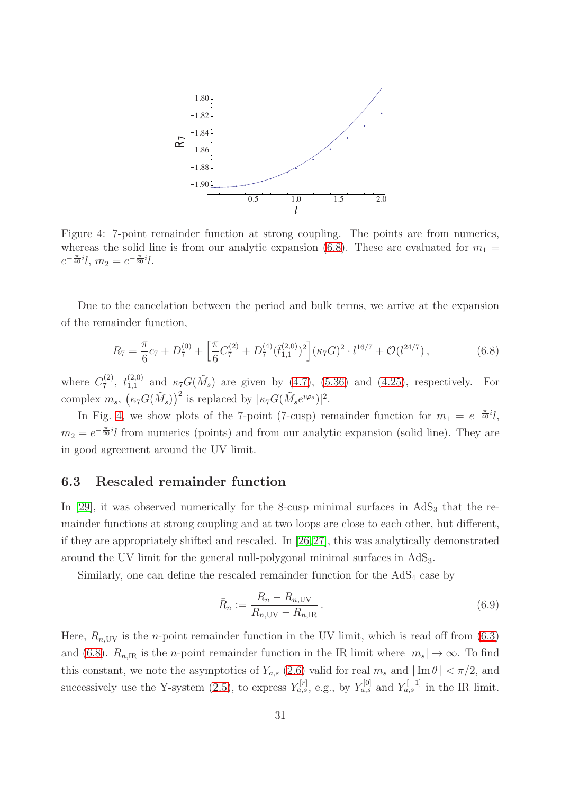

<span id="page-31-1"></span>Figure 4: 7-point remainder function at strong coupling. The points are from numerics, whereas the solid line is from our analytic expansion [\(6.8\)](#page-31-0). These are evaluated for  $m_1 =$  $e^{-\frac{\pi}{40}i}l, m_2 = e^{-\frac{\pi}{20}i}l.$ 

Due to the cancelation between the period and bulk terms, we arrive at the expansion of the remainder function,

<span id="page-31-0"></span>
$$
R_7 = \frac{\pi}{6}c_7 + D_7^{(0)} + \left[\frac{\pi}{6}C_7^{(2)} + D_7^{(4)}(\tilde{t}_{1,1}^{(2,0)})^2\right] (\kappa_7 G)^2 \cdot l^{16/7} + \mathcal{O}(l^{24/7}),\tag{6.8}
$$

where  $C_7^{(2)}$ (2),  $t_{1,1}^{(2,0)}$  and  $\kappa_7 G(\tilde{M}_s)$  are given by [\(4.7\)](#page-18-0), [\(5.36\)](#page-28-1) and [\(4.25\)](#page-20-2), respectively. For complex  $m_s$ ,  $(\kappa_7 G(\tilde{M}_s))^2$  is replaced by  $|\kappa_7 G(\tilde{M}_s e^{i\varphi_s})|^2$ .

In Fig. [4,](#page-31-1) we show plots of the 7-point (7-cusp) remainder function for  $m_1 = e^{-\frac{\pi}{40}i}l$ ,  $m_2 = e^{-\frac{\pi}{20}i}l$  from numerics (points) and from our analytic expansion (solid line). They are in good agreement around the UV limit.

## 6.3 Rescaled remainder function

In [\[29\]](#page-40-6), it was observed numerically for the 8-cusp minimal surfaces in  $AdS<sub>3</sub>$  that the remainder functions at strong coupling and at two loops are close to each other, but different, if they are appropriately shifted and rescaled. In [\[26,](#page-40-3)[27\]](#page-40-4), this was analytically demonstrated around the UV limit for the general null-polygonal minimal surfaces in AdS3.

Similarly, one can define the rescaled remainder function for the AdS<sub>4</sub> case by

<span id="page-31-2"></span>
$$
\bar{R}_n := \frac{R_n - R_{n, \text{UV}}}{R_{n, \text{UV}} - R_{n, \text{IR}}}.
$$
\n(6.9)

Here,  $R_{n,UV}$  is the *n*-point remainder function in the UV limit, which is read off from [\(6.3\)](#page-30-1) and [\(6.8\)](#page-31-0).  $R_{n,\text{IR}}$  is the *n*-point remainder function in the IR limit where  $|m_s| \to \infty$ . To find this constant, we note the asymptotics of  $Y_{a,s}$  [\(2.6\)](#page-4-0) valid for real  $m_s$  and  $|\operatorname{Im} \theta| < \pi/2$ , and successively use the Y-system [\(2.5\)](#page-4-2), to express  $Y_{a,s}^{[r]}$ , e.g., by  $Y_{a,s}^{[0]}$  and  $Y_{a,s}^{[-1]}$  in the IR limit.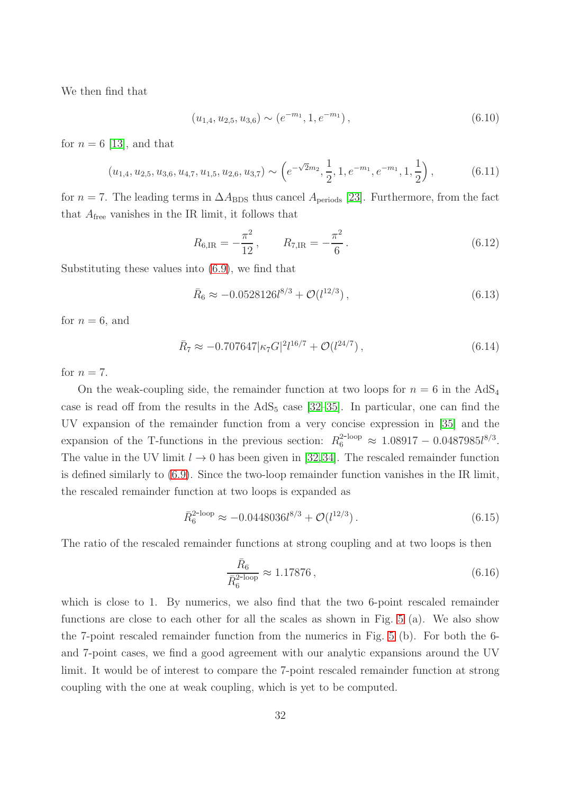We then find that

$$
(u_{1,4}, u_{2,5}, u_{3,6}) \sim (e^{-m_1}, 1, e^{-m_1}), \qquad (6.10)
$$

for  $n = 6$  [\[13\]](#page-39-10), and that

$$
(u_{1,4}, u_{2,5}, u_{3,6}, u_{4,7}, u_{1,5}, u_{2,6}, u_{3,7}) \sim \left(e^{-\sqrt{2}m_2}, \frac{1}{2}, 1, e^{-m_1}, e^{-m_1}, 1, \frac{1}{2}\right),\tag{6.11}
$$

for  $n = 7$ . The leading terms in  $\Delta A_{\rm BDS}$  thus cancel  $A_{\rm periods}$  [\[23\]](#page-40-15). Furthermore, from the fact that  $A_{\text{free}}$  vanishes in the IR limit, it follows that

$$
R_{6,\text{IR}} = -\frac{\pi^2}{12}, \qquad R_{7,\text{IR}} = -\frac{\pi^2}{6}.
$$
 (6.12)

Substituting these values into [\(6.9\)](#page-31-2), we find that

$$
\bar{R}_6 \approx -0.0528126l^{8/3} + \mathcal{O}(l^{12/3}), \qquad (6.13)
$$

for  $n = 6$ , and

$$
\bar{R}_7 \approx -0.707647 |\kappa_7 G|^{2} l^{16/7} + \mathcal{O}(l^{24/7}), \qquad (6.14)
$$

for  $n = 7$ .

On the weak-coupling side, the remainder function at two loops for  $n = 6$  in the AdS<sub>4</sub> case is read off from the results in the  $AdS_5$  case [\[32](#page-40-8)[–35\]](#page-40-9). In particular, one can find the UV expansion of the remainder function from a very concise expression in [\[35\]](#page-40-9) and the expansion of the T-functions in the previous section:  $R_6^{2-loop} \approx 1.08917 - 0.0487985l^{8/3}$ . The value in the UV limit  $l \to 0$  has been given in [\[32,](#page-40-8)[34\]](#page-40-17). The rescaled remainder function is defined similarly to [\(6.9\)](#page-31-2). Since the two-loop remainder function vanishes in the IR limit, the rescaled remainder function at two loops is expanded as

$$
\bar{R}_6^{2\text{-loop}} \approx -0.0448036 l^{8/3} + \mathcal{O}(l^{12/3}).\tag{6.15}
$$

The ratio of the rescaled remainder functions at strong coupling and at two loops is then

$$
\frac{\bar{R}_6}{\bar{R}_6^{2-\text{loop}}} \approx 1.17876\,,\tag{6.16}
$$

which is close to 1. By numerics, we also find that the two 6-point rescaled remainder functions are close to each other for all the scales as shown in Fig. [5](#page-33-0) (a). We also show the 7-point rescaled remainder function from the numerics in Fig. [5](#page-33-0) (b). For both the 6 and 7-point cases, we find a good agreement with our analytic expansions around the UV limit. It would be of interest to compare the 7-point rescaled remainder function at strong coupling with the one at weak coupling, which is yet to be computed.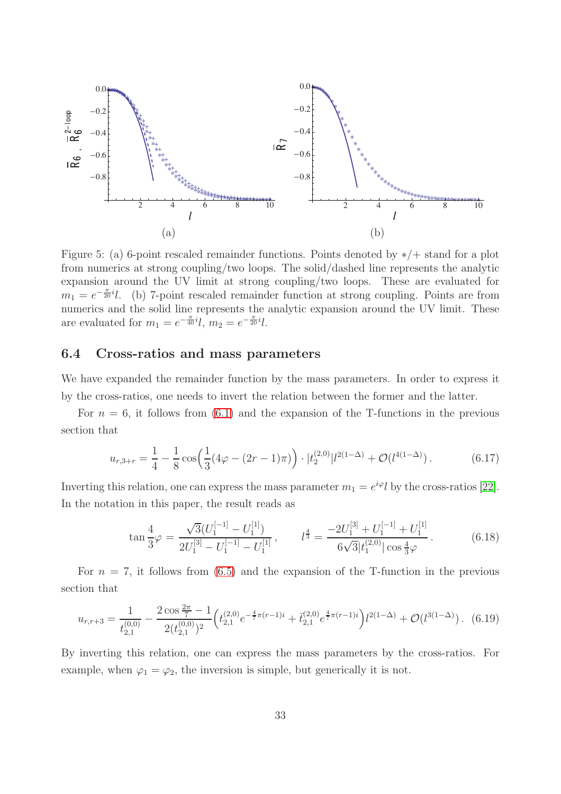

<span id="page-33-0"></span>Figure 5: (a) 6-point rescaled remainder functions. Points denoted by ∗/+ stand for a plot from numerics at strong coupling/two loops. The solid/dashed line represents the analytic expansion around the UV limit at strong coupling/two loops. These are evaluated for  $m_1 = e^{-\frac{\pi}{20}i}l$ . (b) 7-point rescaled remainder function at strong coupling. Points are from numerics and the solid line represents the analytic expansion around the UV limit. These are evaluated for  $m_1 = e^{-\frac{\pi}{40}i}l$ ,  $m_2 = e^{-\frac{\pi}{20}i}l$ .

## 6.4 Cross-ratios and mass parameters

We have expanded the remainder function by the mass parameters. In order to express it by the cross-ratios, one needs to invert the relation between the former and the latter.

For  $n = 6$ , it follows from  $(6.1)$  and the expansion of the T-functions in the previous section that

$$
u_{r,3+r} = \frac{1}{4} - \frac{1}{8} \cos\left(\frac{1}{3}(4\varphi - (2r - 1)\pi)\right) \cdot |t_2^{(2,0)}| l^{2(1-\Delta)} + \mathcal{O}(l^{4(1-\Delta)}).
$$
 (6.17)

Inverting this relation, one can express the mass parameter  $m_1 = e^{i\varphi} l$  by the cross-ratios [\[22\]](#page-40-16). In the notation in this paper, the result reads as

$$
\tan\frac{4}{3}\varphi = \frac{\sqrt{3}(U_1^{[-1]} - U_1^{[1]})}{2U_1^{[3]} - U_1^{[-1]} - U_1^{[1]}}, \qquad l^{\frac{4}{3}} = \frac{-2U_1^{[3]} + U_1^{[-1]} + U_1^{[1]}}{6\sqrt{3}|t_1^{(2,0)}|\cos\frac{4}{3}\varphi}.
$$
(6.18)

For  $n = 7$ , it follows from [\(6.5\)](#page-30-0) and the expansion of the T-function in the previous section that

$$
u_{r,r+3} = \frac{1}{t_{2,1}^{(0,0)}} - \frac{2\cos\frac{2\pi}{7} - 1}{2(t_{2,1}^{(0,0)})^2} \left( t_{2,1}^{(2,0)} e^{-\frac{4}{7}\pi(r-1)i} + \bar{t}_{2,1}^{(2,0)} e^{\frac{4}{7}\pi(r-1)i} \right) l^{2(1-\Delta)} + \mathcal{O}(l^{3(1-\Delta)}). \tag{6.19}
$$

By inverting this relation, one can express the mass parameters by the cross-ratios. For example, when  $\varphi_1 = \varphi_2$ , the inversion is simple, but generically it is not.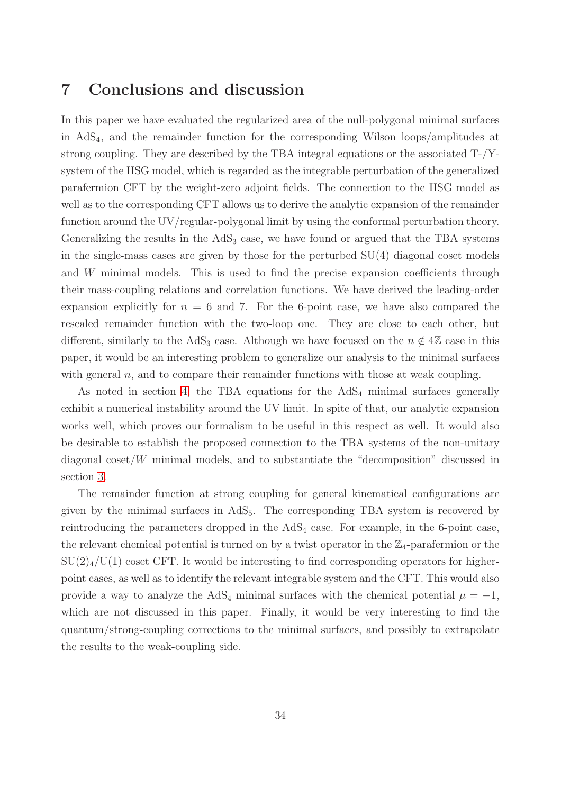## 7 Conclusions and discussion

In this paper we have evaluated the regularized area of the null-polygonal minimal surfaces in AdS4, and the remainder function for the corresponding Wilson loops/amplitudes at strong coupling. They are described by the TBA integral equations or the associated T-/Ysystem of the HSG model, which is regarded as the integrable perturbation of the generalized parafermion CFT by the weight-zero adjoint fields. The connection to the HSG model as well as to the corresponding CFT allows us to derive the analytic expansion of the remainder function around the UV/regular-polygonal limit by using the conformal perturbation theory. Generalizing the results in the  $AdS<sub>3</sub>$  case, we have found or argued that the TBA systems in the single-mass cases are given by those for the perturbed SU(4) diagonal coset models and W minimal models. This is used to find the precise expansion coefficients through their mass-coupling relations and correlation functions. We have derived the leading-order expansion explicitly for  $n = 6$  and 7. For the 6-point case, we have also compared the rescaled remainder function with the two-loop one. They are close to each other, but different, similarly to the AdS<sub>3</sub> case. Although we have focused on the  $n \notin 4\mathbb{Z}$  case in this paper, it would be an interesting problem to generalize our analysis to the minimal surfaces with general  $n$ , and to compare their remainder functions with those at weak coupling.

As noted in section [4,](#page-17-0) the TBA equations for the  $AdS<sub>4</sub>$  minimal surfaces generally exhibit a numerical instability around the UV limit. In spite of that, our analytic expansion works well, which proves our formalism to be useful in this respect as well. It would also be desirable to establish the proposed connection to the TBA systems of the non-unitary diagonal coset/W minimal models, and to substantiate the "decomposition" discussed in section [3.](#page-11-0)

The remainder function at strong coupling for general kinematical configurations are given by the minimal surfaces in  $AdS_5$ . The corresponding TBA system is recovered by reintroducing the parameters dropped in the  $AdS_4$  case. For example, in the 6-point case, the relevant chemical potential is turned on by a twist operator in the  $\mathbb{Z}_4$ -parafermion or the  $SU(2)_4/U(1)$  coset CFT. It would be interesting to find corresponding operators for higherpoint cases, as well as to identify the relevant integrable system and the CFT. This would also provide a way to analyze the AdS<sub>4</sub> minimal surfaces with the chemical potential  $\mu = -1$ , which are not discussed in this paper. Finally, it would be very interesting to find the quantum/strong-coupling corrections to the minimal surfaces, and possibly to extrapolate the results to the weak-coupling side.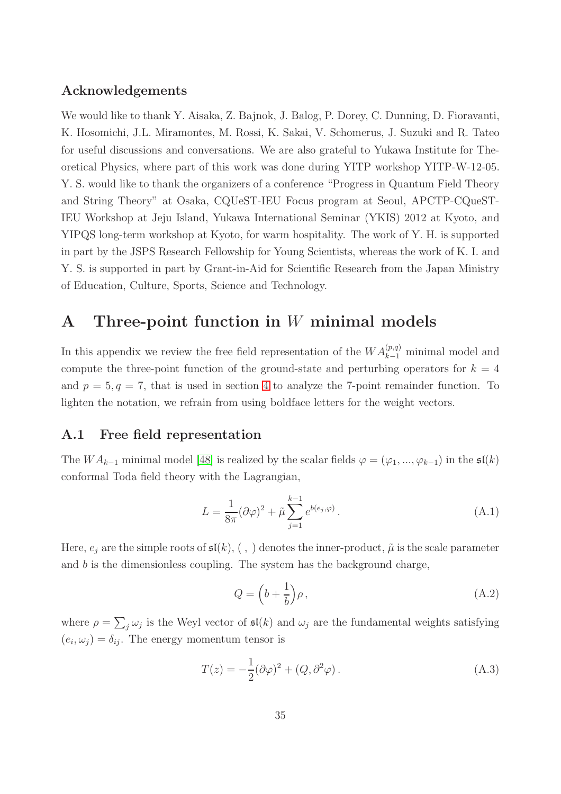## Acknowledgements

We would like to thank Y. Aisaka, Z. Bajnok, J. Balog, P. Dorey, C. Dunning, D. Fioravanti, K. Hosomichi, J.L. Miramontes, M. Rossi, K. Sakai, V. Schomerus, J. Suzuki and R. Tateo for useful discussions and conversations. We are also grateful to Yukawa Institute for Theoretical Physics, where part of this work was done during YITP workshop YITP-W-12-05. Y. S. would like to thank the organizers of a conference "Progress in Quantum Field Theory and String Theory" at Osaka, CQUeST-IEU Focus program at Seoul, APCTP-CQueST-IEU Workshop at Jeju Island, Yukawa International Seminar (YKIS) 2012 at Kyoto, and YIPQS long-term workshop at Kyoto, for warm hospitality. The work of Y. H. is supported in part by the JSPS Research Fellowship for Young Scientists, whereas the work of K. I. and Y. S. is supported in part by Grant-in-Aid for Scientific Research from the Japan Ministry of Education, Culture, Sports, Science and Technology.

# A Three-point function in W minimal models

In this appendix we review the free field representation of the  $WA_{k-1}^{(p,q)}$  minimal model and compute the three-point function of the ground-state and perturbing operators for  $k = 4$ and  $p = 5, q = 7$ , that is used in section [4](#page-17-0) to analyze the 7-point remainder function. To lighten the notation, we refrain from using boldface letters for the weight vectors.

## A.1 Free field representation

The  $WA_{k-1}$  minimal model [\[48\]](#page-41-7) is realized by the scalar fields  $\varphi = (\varphi_1, ..., \varphi_{k-1})$  in the  $\mathfrak{sl}(k)$ conformal Toda field theory with the Lagrangian,

$$
L = \frac{1}{8\pi} (\partial \varphi)^2 + \tilde{\mu} \sum_{j=1}^{k-1} e^{b(e_j, \varphi)}.
$$
 (A.1)

Here,  $e_j$  are the simple roots of  $\mathfrak{sl}(k)$ , (,) denotes the inner-product,  $\tilde{\mu}$  is the scale parameter and  $b$  is the dimensionless coupling. The system has the background charge,

$$
Q = \left(b + \frac{1}{b}\right)\rho\,,\tag{A.2}
$$

where  $\rho = \sum_j \omega_j$  is the Weyl vector of  $\mathfrak{sl}(k)$  and  $\omega_j$  are the fundamental weights satisfying  $(e_i, \omega_j) = \delta_{ij}$ . The energy momentum tensor is

$$
T(z) = -\frac{1}{2}(\partial \varphi)^2 + (Q, \partial^2 \varphi).
$$
 (A.3)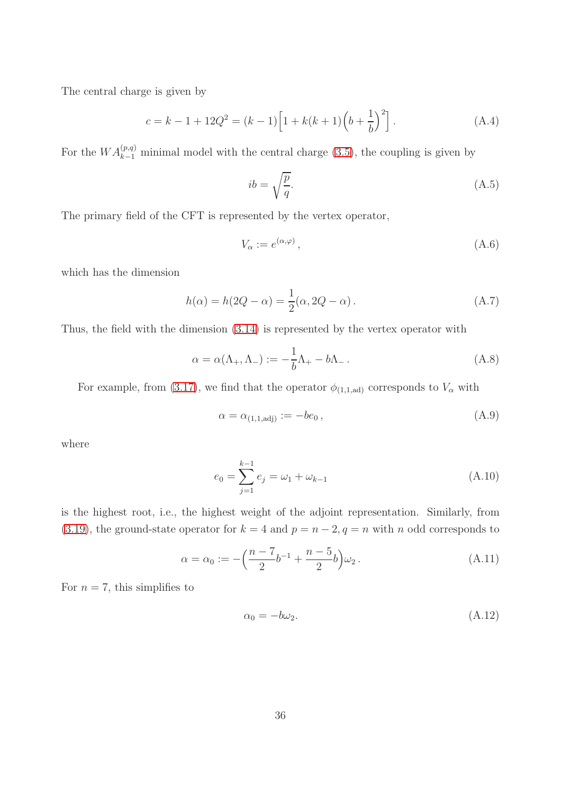The central charge is given by

$$
c = k - 1 + 12Q^{2} = (k - 1)\left[1 + k(k + 1)\left(b + \frac{1}{b}\right)^{2}\right].
$$
 (A.4)

For the  $WA_{k-1}^{(p,q)}$  minimal model with the central charge [\(3.5\)](#page-13-1), the coupling is given by

$$
ib = \sqrt{\frac{p}{q}}.\tag{A.5}
$$

The primary field of the CFT is represented by the vertex operator,

$$
V_{\alpha} := e^{(\alpha, \varphi)}, \tag{A.6}
$$

which has the dimension

$$
h(\alpha) = h(2Q - \alpha) = \frac{1}{2}(\alpha, 2Q - \alpha). \tag{A.7}
$$

Thus, the field with the dimension [\(3.14\)](#page-14-2) is represented by the vertex operator with

$$
\alpha = \alpha(\Lambda_+, \Lambda_-) := -\frac{1}{b}\Lambda_+ - b\Lambda_-\,. \tag{A.8}
$$

For example, from [\(3.17\)](#page-15-2), we find that the operator  $\phi_{(1,1,\text{ad})}$  corresponds to  $V_{\alpha}$  with

$$
\alpha = \alpha_{(1,1,\text{adj})} := -be_0 ,\tag{A.9}
$$

where

$$
e_0 = \sum_{j=1}^{k-1} e_j = \omega_1 + \omega_{k-1}
$$
 (A.10)

is the highest root, i.e., the highest weight of the adjoint representation. Similarly, from [\(3.19\)](#page-15-3), the ground-state operator for  $k = 4$  and  $p = n - 2, q = n$  with n odd corresponds to

$$
\alpha = \alpha_0 := -\left(\frac{n-7}{2}b^{-1} + \frac{n-5}{2}b\right)\omega_2.
$$
 (A.11)

For  $n = 7$ , this simplifies to

$$
\alpha_0 = -b\omega_2. \tag{A.12}
$$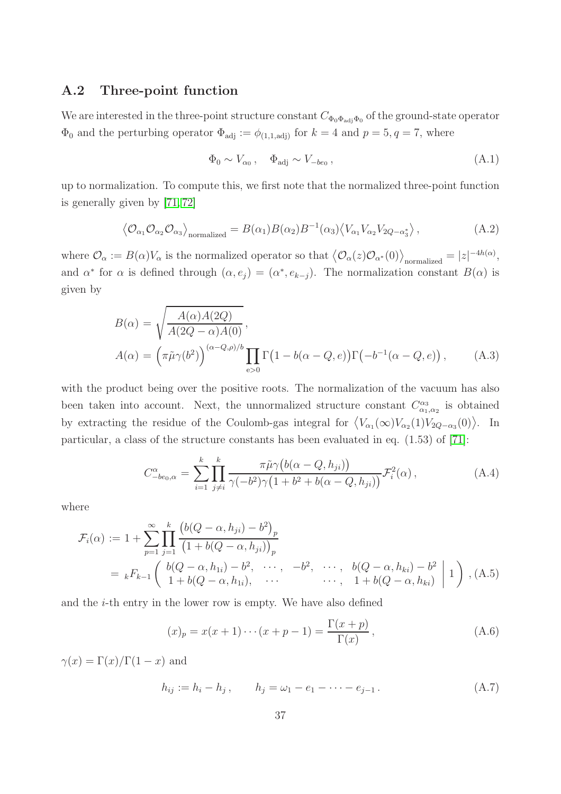## A.2 Three-point function

We are interested in the three-point structure constant  $C_{\Phi_0\Phi_{\text{adj}}\Phi_0}$  of the ground-state operator  $\Phi_0$  and the perturbing operator  $\Phi_{\text{adj}} := \phi_{(1,1,\text{adj})}$  for  $k = 4$  and  $p = 5, q = 7$ , where

$$
\Phi_0 \sim V_{\alpha_0}, \quad \Phi_{\text{adj}} \sim V_{-be_0}, \tag{A.1}
$$

up to normalization. To compute this, we first note that the normalized three-point function is generally given by [\[71,](#page-42-5) [72\]](#page-42-6)

<span id="page-37-1"></span>
$$
\left\langle \mathcal{O}_{\alpha_1} \mathcal{O}_{\alpha_2} \mathcal{O}_{\alpha_3} \right\rangle_{\text{normalized}} = B(\alpha_1) B(\alpha_2) B^{-1}(\alpha_3) \left\langle V_{\alpha_1} V_{\alpha_2} V_{2Q - \alpha_3^*} \right\rangle,\tag{A.2}
$$

where  $\mathcal{O}_{\alpha} := B(\alpha)V_{\alpha}$  is the normalized operator so that  $\langle \mathcal{O}_{\alpha}(z)\mathcal{O}_{\alpha^*}(0)\rangle_{\text{normalized}} = |z|^{-4h(\alpha)}$ , and  $\alpha^*$  for  $\alpha$  is defined through  $(\alpha, e_j) = (\alpha^*, e_{k-j})$ . The normalization constant  $B(\alpha)$  is given by

$$
B(\alpha) = \sqrt{\frac{A(\alpha)A(2Q)}{A(2Q - \alpha)A(0)}},
$$
  
\n
$$
A(\alpha) = (\pi \tilde{\mu}\gamma(b^2))^{\alpha - Q(\rho)/b} \prod_{e>0} \Gamma(1 - b(\alpha - Q, e)) \Gamma(-b^{-1}(\alpha - Q, e)),
$$
\n(A.3)

with the product being over the positive roots. The normalization of the vacuum has also been taken into account. Next, the unnormalized structure constant  $C^{\alpha_3}_{\alpha_1,\alpha_2}$  is obtained by extracting the residue of the Coulomb-gas integral for  $\langle V_{\alpha_1}(\infty)V_{\alpha_2}(1)V_{2Q-\alpha_3}(0)\rangle$ . In particular, a class of the structure constants has been evaluated in eq. (1.53) of [\[71\]](#page-42-5):

<span id="page-37-0"></span>
$$
C_{-be_0,\alpha}^{\alpha} = \sum_{i=1}^{k} \prod_{j \neq i}^{k} \frac{\pi \tilde{\mu} \gamma \big(b(\alpha - Q, h_{ji})\big)}{\gamma(-b^2) \gamma \big(1 + b^2 + b(\alpha - Q, h_{ji})\big)} \mathcal{F}_i^2(\alpha) ,
$$
 (A.4)

where

$$
\mathcal{F}_i(\alpha) := 1 + \sum_{p=1}^{\infty} \prod_{j=1}^k \frac{\left(b(Q - \alpha, h_{ji}) - b^2\right)_p}{\left(1 + b(Q - \alpha, h_{ji})\right)_p}
$$
\n
$$
= {}_k F_{k-1} \left( \begin{array}{ccc} b(Q - \alpha, h_{1i}) - b^2, & \cdots, & -b^2, & \cdots, & b(Q - \alpha, h_{ki}) - b^2 \\ 1 + b(Q - \alpha, h_{1i}), & \cdots & & \cdots, & 1 + b(Q - \alpha, h_{ki}) \end{array} \middle| 1 \right), \text{(A.5)}
$$

and the i-th entry in the lower row is empty. We have also defined

$$
(x)_p = x(x+1)\cdots(x+p-1) = \frac{\Gamma(x+p)}{\Gamma(x)},
$$
\n(A.6)

 $\gamma(x) = \Gamma(x)/\Gamma(1-x)$  and

$$
h_{ij} := h_i - h_j, \qquad h_j = \omega_1 - e_1 - \dots - e_{j-1}.
$$
 (A.7)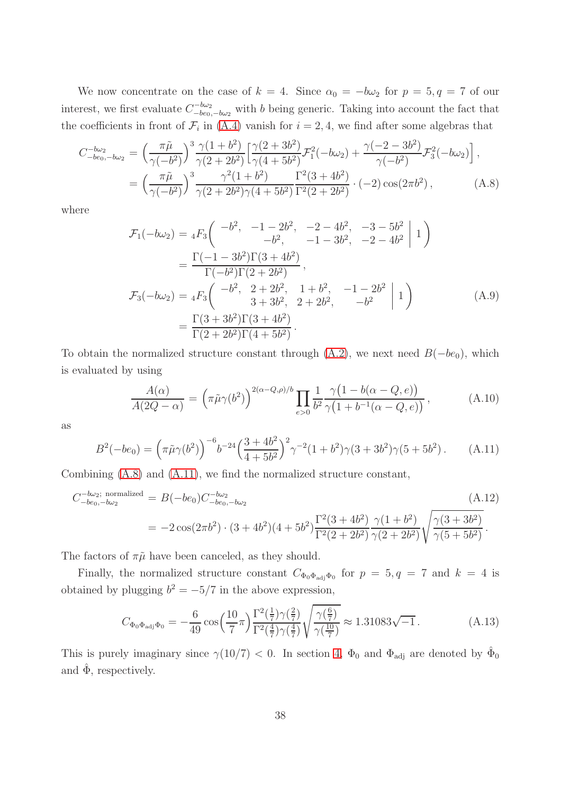We now concentrate on the case of  $k = 4$ . Since  $\alpha_0 = -b\omega_2$  for  $p = 5, q = 7$  of our interest, we first evaluate  $C^{-b\omega_2}_{-be}$  $\frac{1-\omega_2}{-\omega_0-\omega_2}$  with b being generic. Taking into account the fact that the coefficients in front of  $\mathcal{F}_i$  in [\(A.4\)](#page-37-0) vanish for  $i = 2, 4$ , we find after some algebras that

<span id="page-38-1"></span>
$$
C_{-be_0,-b\omega_2}^{-b\omega_2} = \left(\frac{\pi\tilde{\mu}}{\gamma(-b^2)}\right)^3 \frac{\gamma(1+b^2)}{\gamma(2+2b^2)} \left[\frac{\gamma(2+3b^2)}{\gamma(4+5b^2)} \mathcal{F}_1^2(-b\omega_2) + \frac{\gamma(-2-3b^2)}{\gamma(-b^2)} \mathcal{F}_3^2(-b\omega_2)\right],
$$
  
= 
$$
\left(\frac{\pi\tilde{\mu}}{\gamma(-b^2)}\right)^3 \frac{\gamma^2(1+b^2)}{\gamma(2+2b^2)\gamma(4+5b^2)} \frac{\Gamma^2(3+4b^2)}{\Gamma^2(2+2b^2)} \cdot (-2) \cos(2\pi b^2),
$$
 (A.8)

where

$$
\mathcal{F}_1(-b\omega_2) = {}_4F_3 \left( \begin{array}{ccc} -b^2, & -1-2b^2, & -2-4b^2, & -3-5b^2 \\ -b^2, & -1-3b^2, & -2-4b^2 \end{array} \middle| 1 \right)
$$
  
\n
$$
= \frac{\Gamma(-1-3b^2)\Gamma(3+4b^2)}{\Gamma(-b^2)\Gamma(2+2b^2)},
$$
  
\n
$$
\mathcal{F}_3(-b\omega_2) = {}_4F_3 \left( \begin{array}{ccc} -b^2, & 2+2b^2, & 1+b^2, & -1-2b^2 \\ 3+3b^2, & 2+2b^2, & -b^2 \end{array} \middle| 1 \right)
$$
  
\n
$$
= \frac{\Gamma(3+3b^2)\Gamma(3+4b^2)}{\Gamma(2+2b^2)\Gamma(4+5b^2)}.
$$
 (A.9)

To obtain the normalized structure constant through  $(A.2)$ , we next need  $B(-be_0)$ , which is evaluated by using

$$
\frac{A(\alpha)}{A(2Q-\alpha)} = \left(\pi \tilde{\mu}\gamma(b^2)\right)^{2(\alpha-Q,\rho)/b} \prod_{e>0} \frac{1}{b^2} \frac{\gamma(1-b(\alpha-Q,e))}{\gamma(1+b^{-1}(\alpha-Q,e))},\tag{A.10}
$$

as

<span id="page-38-2"></span>
$$
B^{2}(-be_0) = \left(\pi \tilde{\mu}\gamma(b^2)\right)^{-6} b^{-24} \left(\frac{3+4b^2}{4+5b^2}\right)^2 \gamma^{-2} (1+b^2) \gamma(3+3b^2) \gamma(5+5b^2).
$$
 (A.11)

Combining [\(A.8\)](#page-38-1) and [\(A.11\)](#page-38-2), we find the normalized structure constant,

$$
C_{-be_0,-b\omega_2}^{\text{--b}\omega_2;\text{ normalized}} = B(-be_0)C_{-be_0,-b\omega_2}^{\text{--b}\omega_2}
$$
\n
$$
= -2\cos(2\pi b^2) \cdot (3+4b^2)(4+5b^2) \frac{\Gamma^2(3+4b^2)}{\Gamma^2(2+2b^2)} \frac{\gamma(1+b^2)}{\gamma(2+2b^2)} \sqrt{\frac{\gamma(3+3b^2)}{\gamma(5+5b^2)}}.
$$
\n(A.12)

The factors of  $\pi\tilde{\mu}$  have been canceled, as they should.

Finally, the normalized structure constant  $C_{\Phi_0 \Phi_{\text{adj}} \Phi_0}$  for  $p = 5, q = 7$  and  $k = 4$  is obtained by plugging  $b^2 = -5/7$  in the above expression,

<span id="page-38-0"></span>
$$
C_{\Phi_0 \Phi_{\text{adj}} \Phi_0} = -\frac{6}{49} \cos\left(\frac{10}{7} \pi\right) \frac{\Gamma^2(\frac{1}{7}) \gamma(\frac{2}{7})}{\Gamma^2(\frac{4}{7}) \gamma(\frac{4}{7})} \sqrt{\frac{\gamma(\frac{6}{7})}{\gamma(\frac{10}{7})}} \approx 1.31083 \sqrt{-1} \,. \tag{A.13}
$$

This is purely imaginary since  $\gamma(10/7) < 0$ . In section [4,](#page-17-0)  $\Phi_0$  and  $\Phi_{\text{adj}}$  are denoted by  $\hat{\Phi}_0$ and  $\hat{\Phi}$ , respectively.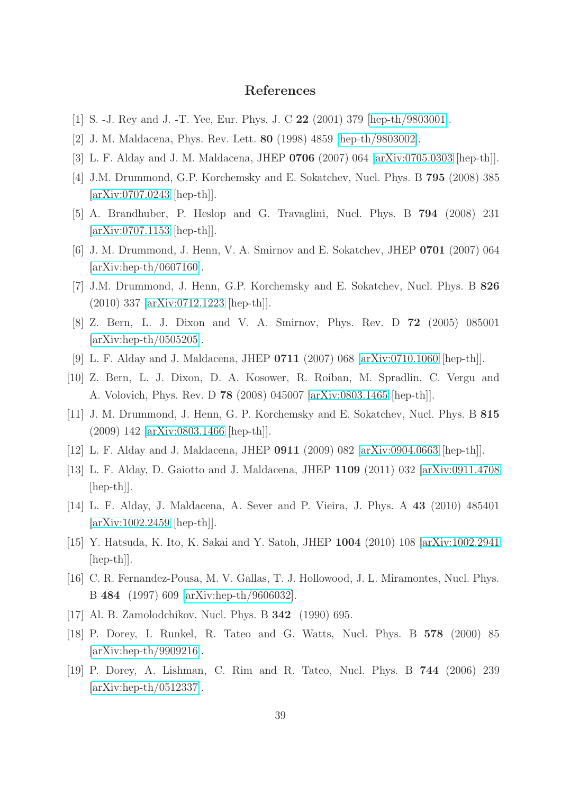## References

- <span id="page-39-1"></span><span id="page-39-0"></span>[1] S. -J. Rey and J. -T. Yee, Eur. Phys. J. C 22 (2001) 379 [\[hep-th/9803001\]](http://arxiv.org/abs/hep-th/9803001).
- <span id="page-39-2"></span>[2] J. M. Maldacena, Phys. Rev. Lett. 80 (1998) 4859 [\[hep-th/9803002\]](http://arxiv.org/abs/hep-th/9803002).
- [3] L. F. Alday and J. M. Maldacena, JHEP 0706 (2007) 064 [\[arXiv:0705.0303](http://arxiv.org/abs/0705.0303) [hep-th]].
- <span id="page-39-3"></span>[4] J.M. Drummond, G.P. Korchemsky and E. Sokatchev, Nucl. Phys. B 795 (2008) 385 [\[arXiv:0707.0243](http://arxiv.org/abs/0707.0243) [hep-th]].
- <span id="page-39-4"></span>[5] A. Brandhuber, P. Heslop and G. Travaglini, Nucl. Phys. B 794 (2008) 231 [\[arXiv:0707.1153](http://arxiv.org/abs/0707.1153) [hep-th]].
- [6] J. M. Drummond, J. Henn, V. A. Smirnov and E. Sokatchev, JHEP 0701 (2007) 064  $\arXiv:hep-th/0607160$ .
- <span id="page-39-6"></span><span id="page-39-5"></span>[7] J.M. Drummond, J. Henn, G.P. Korchemsky and E. Sokatchev, Nucl. Phys. B 826 (2010) 337 [\[arXiv:0712.1223](http://arxiv.org/abs/0712.1223) [hep-th]].
- [8] Z. Bern, L. J. Dixon and V. A. Smirnov, Phys. Rev. D 72 (2005) 085001 [\[arXiv:hep-th/0505205\]](http://arxiv.org/abs/hep-th/0505205).
- <span id="page-39-7"></span>[9] L. F. Alday and J. Maldacena, JHEP 0711 (2007) 068 [\[arXiv:0710.1060](http://arxiv.org/abs/0710.1060) [hep-th]].
- [10] Z. Bern, L. J. Dixon, D. A. Kosower, R. Roiban, M. Spradlin, C. Vergu and A. Volovich, Phys. Rev. D 78 (2008) 045007 [\[arXiv:0803.1465](http://arxiv.org/abs/0803.1465) [hep-th]].
- <span id="page-39-8"></span>[11] J. M. Drummond, J. Henn, G. P. Korchemsky and E. Sokatchev, Nucl. Phys. B 815 (2009) 142 [\[arXiv:0803.1466](http://arxiv.org/abs/0803.1466) [hep-th]].
- <span id="page-39-10"></span><span id="page-39-9"></span>[12] L. F. Alday and J. Maldacena, JHEP 0911 (2009) 082 [\[arXiv:0904.0663](http://arxiv.org/abs/0904.0663) [hep-th]].
- [13] L. F. Alday, D. Gaiotto and J. Maldacena, JHEP 1109 (2011) 032 [\[arXiv:0911.4708](http://arxiv.org/abs/0911.4708) [hep-th]].
- <span id="page-39-16"></span>[14] L. F. Alday, J. Maldacena, A. Sever and P. Vieira, J. Phys. A 43 (2010) 485401 [\[arXiv:1002.2459](http://arxiv.org/abs/1002.2459) [hep-th]].
- <span id="page-39-11"></span>[15] Y. Hatsuda, K. Ito, K. Sakai and Y. Satoh, JHEP 1004 (2010) 108 [\[arXiv:1002.2941](http://arxiv.org/abs/1002.2941) [hep-th]].
- <span id="page-39-12"></span>[16] C. R. Fernandez-Pousa, M. V. Gallas, T. J. Hollowood, J. L. Miramontes, Nucl. Phys. B 484 (1997) 609 [\[arXiv:hep-th/9606032\]](http://arxiv.org/abs/hep-th/9606032).
- <span id="page-39-14"></span><span id="page-39-13"></span>[17] Al. B. Zamolodchikov, Nucl. Phys. B **342** (1990) 695.
- [18] P. Dorey, I. Runkel, R. Tateo and G. Watts, Nucl. Phys. B 578 (2000) 85 [\[arXiv:hep-th/9909216\]](http://arxiv.org/abs/hep-th/9909216).
- <span id="page-39-15"></span>[19] P. Dorey, A. Lishman, C. Rim and R. Tateo, Nucl. Phys. B 744 (2006) 239 [\[arXiv:hep-th/0512337\]](http://arxiv.org/abs/hep-th/0512337).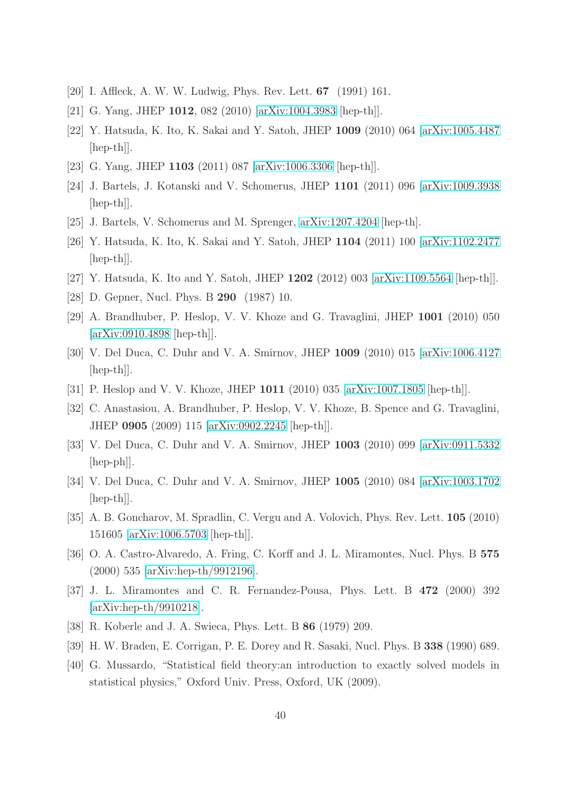- <span id="page-40-1"></span><span id="page-40-0"></span>[20] I. Affleck, A. W. W. Ludwig, Phys. Rev. Lett. 67 (1991) 161.
- <span id="page-40-16"></span>[21] G. Yang, JHEP 1012, 082 (2010) [\[arXiv:1004.3983](http://arxiv.org/abs/1004.3983) [hep-th]].
- <span id="page-40-15"></span>[22] Y. Hatsuda, K. Ito, K. Sakai and Y. Satoh, JHEP 1009 (2010) 064 [\[arXiv:1005.4487](http://arxiv.org/abs/1005.4487) [hep-th]].
- [23] G. Yang, JHEP 1103 (2011) 087 [\[arXiv:1006.3306](http://arxiv.org/abs/1006.3306) [hep-th]].
- <span id="page-40-2"></span>[24] J. Bartels, J. Kotanski and V. Schomerus, JHEP 1101 (2011) 096 [\[arXiv:1009.3938](http://arxiv.org/abs/1009.3938) [hep-th]].
- <span id="page-40-3"></span>[25] J. Bartels, V. Schomerus and M. Sprenger, [arXiv:1207.4204](http://arxiv.org/abs/1207.4204) [hep-th].
- [26] Y. Hatsuda, K. Ito, K. Sakai and Y. Satoh, JHEP 1104 (2011) 100 [\[arXiv:1102.2477](http://arxiv.org/abs/1102.2477) [hep-th]].
- <span id="page-40-5"></span><span id="page-40-4"></span>[27] Y. Hatsuda, K. Ito and Y. Satoh, JHEP 1202 (2012) 003 [\[arXiv:1109.5564](http://arxiv.org/abs/1109.5564) [hep-th]].
- <span id="page-40-6"></span>[28] D. Gepner, Nucl. Phys. B 290 (1987) 10.
- [29] A. Brandhuber, P. Heslop, V. V. Khoze and G. Travaglini, JHEP 1001 (2010) 050 [\[arXiv:0910.4898](http://arxiv.org/abs/0910.4898) [hep-th]].
- [30] V. Del Duca, C. Duhr and V. A. Smirnov, JHEP 1009 (2010) 015 [\[arXiv:1006.4127](http://arxiv.org/abs/1006.4127) [hep-th]].
- <span id="page-40-8"></span><span id="page-40-7"></span>[31] P. Heslop and V. V. Khoze, JHEP 1011 (2010) 035 [\[arXiv:1007.1805](http://arxiv.org/abs/1007.1805) [hep-th]].
- [32] C. Anastasiou, A. Brandhuber, P. Heslop, V. V. Khoze, B. Spence and G. Travaglini, JHEP 0905 (2009) 115 [\[arXiv:0902.2245](http://arxiv.org/abs/0902.2245) [hep-th]].
- [33] V. Del Duca, C. Duhr and V. A. Smirnov, JHEP 1003 (2010) 099 [\[arXiv:0911.5332](http://arxiv.org/abs/0911.5332)  $\vert \text{hep-ph} \vert$ .
- <span id="page-40-17"></span>[34] V. Del Duca, C. Duhr and V. A. Smirnov, JHEP 1005 (2010) 084 [\[arXiv:1003.1702](http://arxiv.org/abs/1003.1702) [hep-th]].
- <span id="page-40-9"></span>[35] A. B. Goncharov, M. Spradlin, C. Vergu and A. Volovich, Phys. Rev. Lett. 105 (2010) 151605 [\[arXiv:1006.5703](http://arxiv.org/abs/1006.5703) [hep-th]].
- <span id="page-40-10"></span>[36] O. A. Castro-Alvaredo, A. Fring, C. Korff and J. L. Miramontes, Nucl. Phys. B 575 (2000) 535 [\[arXiv:hep-th/9912196\]](http://arxiv.org/abs/hep-th/9912196).
- <span id="page-40-11"></span>[37] J. L. Miramontes and C. R. Fernandez-Pousa, Phys. Lett. B 472 (2000) 392 [\[arXiv:hep-th/9910218\]](http://arxiv.org/abs/hep-th/9910218).
- <span id="page-40-13"></span><span id="page-40-12"></span>[38] R. Koberle and J. A. Swieca, Phys. Lett. B 86 (1979) 209.
- <span id="page-40-14"></span>[39] H. W. Braden, E. Corrigan, P. E. Dorey and R. Sasaki, Nucl. Phys. B 338 (1990) 689.
- [40] G. Mussardo, "Statistical field theory:an introduction to exactly solved models in statistical physics," Oxford Univ. Press, Oxford, UK (2009).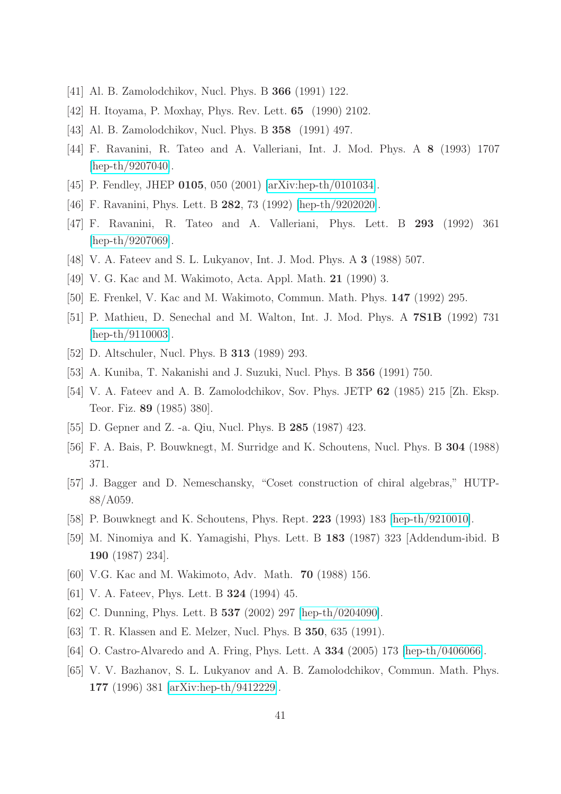- <span id="page-41-1"></span><span id="page-41-0"></span>[41] Al. B. Zamolodchikov, Nucl. Phys. B 366 (1991) 122.
- <span id="page-41-2"></span>[42] H. Itoyama, P. Moxhay, Phys. Rev. Lett. 65 (1990) 2102.
- <span id="page-41-3"></span>[43] Al. B. Zamolodchikov, Nucl. Phys. B 358 (1991) 497.
- <span id="page-41-4"></span>[44] F. Ravanini, R. Tateo and A. Valleriani, Int. J. Mod. Phys. A 8 (1993) 1707 [\[hep-th/9207040\]](http://arxiv.org/abs/hep-th/9207040).
- <span id="page-41-5"></span>[45] P. Fendley, JHEP 0105, 050 (2001) [\[arXiv:hep-th/0101034\]](http://arxiv.org/abs/hep-th/0101034).
- <span id="page-41-6"></span>[46] F. Ravanini, Phys. Lett. B 282, 73 (1992) [\[hep-th/9202020\]](http://arxiv.org/abs/hep-th/9202020).
- <span id="page-41-7"></span>[47] F. Ravanini, R. Tateo and A. Valleriani, Phys. Lett. B 293 (1992) 361 [\[hep-th/9207069\]](http://arxiv.org/abs/hep-th/9207069).
- <span id="page-41-8"></span>[48] V. A. Fateev and S. L. Lukyanov, Int. J. Mod. Phys. A 3 (1988) 507.
- <span id="page-41-9"></span>[49] V. G. Kac and M. Wakimoto, Acta. Appl. Math. 21 (1990) 3.
- <span id="page-41-10"></span>[50] E. Frenkel, V. Kac and M. Wakimoto, Commun. Math. Phys. 147 (1992) 295.
- <span id="page-41-11"></span>[51] P. Mathieu, D. Senechal and M. Walton, Int. J. Mod. Phys. A 7S1B (1992) 731 [\[hep-th/9110003\]](http://arxiv.org/abs/hep-th/9110003).
- <span id="page-41-12"></span>[52] D. Altschuler, Nucl. Phys. B 313 (1989) 293.
- <span id="page-41-13"></span>[53] A. Kuniba, T. Nakanishi and J. Suzuki, Nucl. Phys. B 356 (1991) 750.
- <span id="page-41-14"></span>[54] V. A. Fateev and A. B. Zamolodchikov, Sov. Phys. JETP 62 (1985) 215 [Zh. Eksp. Teor. Fiz. 89 (1985) 380].
- <span id="page-41-15"></span>[55] D. Gepner and Z. -a. Qiu, Nucl. Phys. B 285 (1987) 423.
- <span id="page-41-16"></span>[56] F. A. Bais, P. Bouwknegt, M. Surridge and K. Schoutens, Nucl. Phys. B 304 (1988) 371.
- [57] J. Bagger and D. Nemeschansky, "Coset construction of chiral algebras," HUTP-88/A059.
- <span id="page-41-18"></span><span id="page-41-17"></span>[58] P. Bouwknegt and K. Schoutens, Phys. Rept. 223 (1993) 183 [\[hep-th/9210010\]](http://arxiv.org/abs/hep-th/9210010).
- [59] M. Ninomiya and K. Yamagishi, Phys. Lett. B 183 (1987) 323 [Addendum-ibid. B 190 (1987) 234].
- <span id="page-41-20"></span><span id="page-41-19"></span>[60] V.G. Kac and M. Wakimoto, Adv. Math. 70 (1988) 156.
- <span id="page-41-21"></span>[61] V. A. Fateev, Phys. Lett. B **324** (1994) 45.
- <span id="page-41-22"></span>[62] C. Dunning, Phys. Lett. B 537 (2002) 297 [\[hep-th/0204090\]](http://arxiv.org/abs/hep-th/0204090).
- <span id="page-41-23"></span>[63] T. R. Klassen and E. Melzer, Nucl. Phys. B 350, 635 (1991).
- <span id="page-41-24"></span>[64] O. Castro-Alvaredo and A. Fring, Phys. Lett. A 334 (2005) 173 [\[hep-th/0406066\]](http://arxiv.org/abs/hep-th/0406066).
- [65] V. V. Bazhanov, S. L. Lukyanov and A. B. Zamolodchikov, Commun. Math. Phys. 177 (1996) 381 [\[arXiv:hep-th/9412229\]](http://arxiv.org/abs/hep-th/9412229).